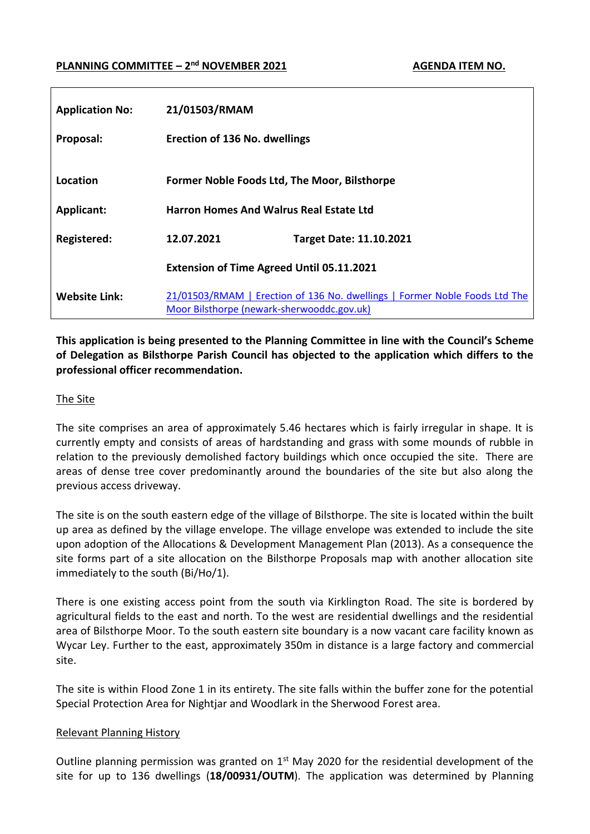## **PLANNING COMMITTEE** –  $2^{nd}$  **NOVEMBER 2021 AGENDA ITEM NO. AGENDA ITEM NO.**

| <b>Application No:</b> | 21/01503/RMAM                                    |                                                                            |  |  |
|------------------------|--------------------------------------------------|----------------------------------------------------------------------------|--|--|
| Proposal:              | <b>Erection of 136 No. dwellings</b>             |                                                                            |  |  |
| Location               | Former Noble Foods Ltd, The Moor, Bilsthorpe     |                                                                            |  |  |
| <b>Applicant:</b>      | <b>Harron Homes And Walrus Real Estate Ltd</b>   |                                                                            |  |  |
| Registered:            | 12.07.2021                                       | <b>Target Date: 11.10.2021</b>                                             |  |  |
|                        | <b>Extension of Time Agreed Until 05.11.2021</b> |                                                                            |  |  |
| <b>Website Link:</b>   | Moor Bilsthorpe (newark-sherwooddc.gov.uk)       | 21/01503/RMAM   Erection of 136 No. dwellings   Former Noble Foods Ltd The |  |  |

**This application is being presented to the Planning Committee in line with the Council's Scheme of Delegation as Bilsthorpe Parish Council has objected to the application which differs to the professional officer recommendation.**

#### The Site

The site comprises an area of approximately 5.46 hectares which is fairly irregular in shape. It is currently empty and consists of areas of hardstanding and grass with some mounds of rubble in relation to the previously demolished factory buildings which once occupied the site. There are areas of dense tree cover predominantly around the boundaries of the site but also along the previous access driveway.

The site is on the south eastern edge of the village of Bilsthorpe. The site is located within the built up area as defined by the village envelope. The village envelope was extended to include the site upon adoption of the Allocations & Development Management Plan (2013). As a consequence the site forms part of a site allocation on the Bilsthorpe Proposals map with another allocation site immediately to the south (Bi/Ho/1).

There is one existing access point from the south via Kirklington Road. The site is bordered by agricultural fields to the east and north. To the west are residential dwellings and the residential area of Bilsthorpe Moor. To the south eastern site boundary is a now vacant care facility known as Wycar Ley. Further to the east, approximately 350m in distance is a large factory and commercial site.

The site is within Flood Zone 1 in its entirety. The site falls within the buffer zone for the potential Special Protection Area for Nightjar and Woodlark in the Sherwood Forest area.

#### Relevant Planning History

Outline planning permission was granted on  $1<sup>st</sup>$  May 2020 for the residential development of the site for up to 136 dwellings (**18/00931/OUTM**). The application was determined by Planning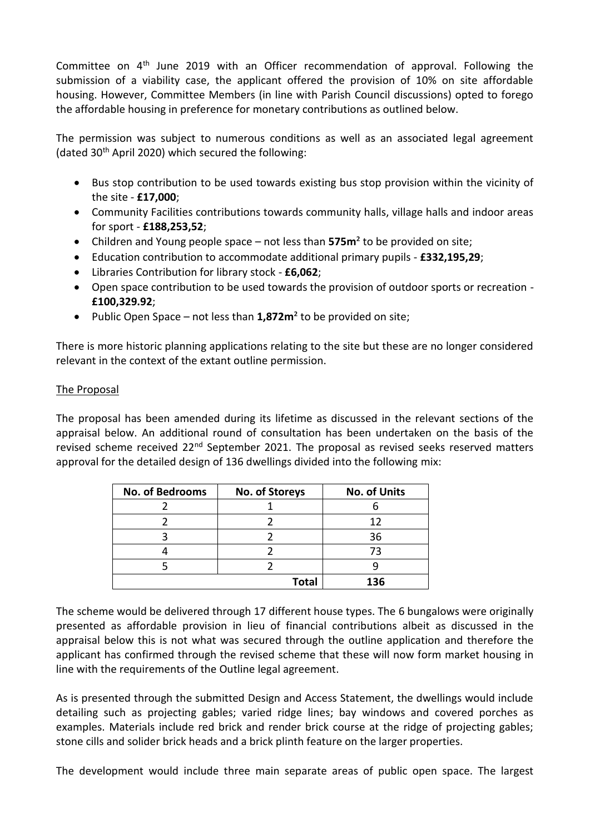Committee on  $4<sup>th</sup>$  June 2019 with an Officer recommendation of approval. Following the submission of a viability case, the applicant offered the provision of 10% on site affordable housing. However, Committee Members (in line with Parish Council discussions) opted to forego the affordable housing in preference for monetary contributions as outlined below.

The permission was subject to numerous conditions as well as an associated legal agreement (dated 30th April 2020) which secured the following:

- Bus stop contribution to be used towards existing bus stop provision within the vicinity of the site - **£17,000**;
- Community Facilities contributions towards community halls, village halls and indoor areas for sport - **£188,253,52**;
- Children and Young people space not less than **575m**² to be provided on site;
- Education contribution to accommodate additional primary pupils **£332,195,29**;
- Libraries Contribution for library stock **£6,062**;
- Open space contribution to be used towards the provision of outdoor sports or recreation **£100,329.92**;
- Public Open Space not less than **1,872m**² to be provided on site;

There is more historic planning applications relating to the site but these are no longer considered relevant in the context of the extant outline permission.

## The Proposal

The proposal has been amended during its lifetime as discussed in the relevant sections of the appraisal below. An additional round of consultation has been undertaken on the basis of the revised scheme received  $22<sup>nd</sup>$  September 2021. The proposal as revised seeks reserved matters approval for the detailed design of 136 dwellings divided into the following mix:

| No. of Bedrooms<br>No. of Storeys |              | <b>No. of Units</b> |  |
|-----------------------------------|--------------|---------------------|--|
|                                   |              |                     |  |
|                                   |              | 12                  |  |
|                                   |              | 36                  |  |
|                                   |              | 73                  |  |
|                                   |              |                     |  |
|                                   | <b>Total</b> | 136                 |  |

The scheme would be delivered through 17 different house types. The 6 bungalows were originally presented as affordable provision in lieu of financial contributions albeit as discussed in the appraisal below this is not what was secured through the outline application and therefore the applicant has confirmed through the revised scheme that these will now form market housing in line with the requirements of the Outline legal agreement.

As is presented through the submitted Design and Access Statement, the dwellings would include detailing such as projecting gables; varied ridge lines; bay windows and covered porches as examples. Materials include red brick and render brick course at the ridge of projecting gables; stone cills and solider brick heads and a brick plinth feature on the larger properties.

The development would include three main separate areas of public open space. The largest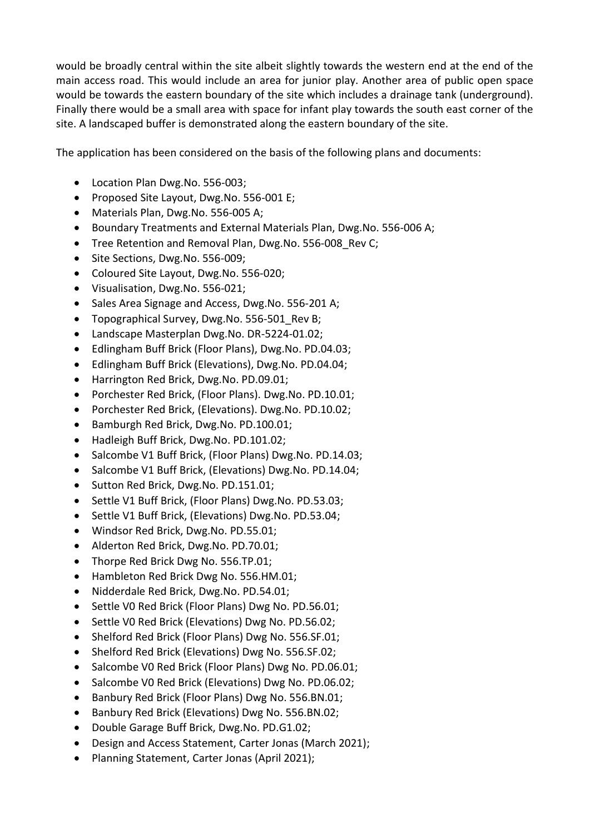would be broadly central within the site albeit slightly towards the western end at the end of the main access road. This would include an area for junior play. Another area of public open space would be towards the eastern boundary of the site which includes a drainage tank (underground). Finally there would be a small area with space for infant play towards the south east corner of the site. A landscaped buffer is demonstrated along the eastern boundary of the site.

The application has been considered on the basis of the following plans and documents:

- Location Plan Dwg.No. 556-003;
- Proposed Site Layout, Dwg.No. 556-001 E;
- Materials Plan, Dwg.No. 556-005 A;
- Boundary Treatments and External Materials Plan, Dwg.No. 556-006 A;
- Tree Retention and Removal Plan, Dwg.No. 556-008 Rev C;
- Site Sections, Dwg.No. 556-009;
- Coloured Site Layout, Dwg.No. 556-020;
- Visualisation, Dwg.No. 556-021;
- Sales Area Signage and Access, Dwg.No. 556-201 A;
- Topographical Survey, Dwg.No. 556-501 Rev B;
- Landscape Masterplan Dwg.No. DR-5224-01.02;
- Edlingham Buff Brick (Floor Plans), Dwg.No. PD.04.03;
- Edlingham Buff Brick (Elevations), Dwg.No. PD.04.04;
- Harrington Red Brick, Dwg.No. PD.09.01;
- Porchester Red Brick, (Floor Plans). Dwg.No. PD.10.01;
- Porchester Red Brick, (Elevations). Dwg.No. PD.10.02;
- Bamburgh Red Brick, Dwg.No. PD.100.01;
- Hadleigh Buff Brick, Dwg.No. PD.101.02;
- Salcombe V1 Buff Brick, (Floor Plans) Dwg.No. PD.14.03;
- Salcombe V1 Buff Brick, (Elevations) Dwg.No. PD.14.04;
- Sutton Red Brick, Dwg.No. PD.151.01;
- Settle V1 Buff Brick, (Floor Plans) Dwg.No. PD.53.03;
- Settle V1 Buff Brick, (Elevations) Dwg.No. PD.53.04;
- Windsor Red Brick, Dwg.No. PD.55.01;
- Alderton Red Brick, Dwg.No. PD.70.01;
- Thorpe Red Brick Dwg No. 556.TP.01;
- Hambleton Red Brick Dwg No. 556.HM.01;
- Nidderdale Red Brick, Dwg.No. PD.54.01;
- Settle VO Red Brick (Floor Plans) Dwg No. PD.56.01;
- Settle VO Red Brick (Elevations) Dwg No. PD.56.02;
- Shelford Red Brick (Floor Plans) Dwg No. 556.SF.01;
- Shelford Red Brick (Elevations) Dwg No. 556.SF.02;
- Salcombe V0 Red Brick (Floor Plans) Dwg No. PD.06.01;
- Salcombe V0 Red Brick (Elevations) Dwg No. PD.06.02;
- Banbury Red Brick (Floor Plans) Dwg No. 556.BN.01;
- Banbury Red Brick (Elevations) Dwg No. 556.BN.02;
- Double Garage Buff Brick, Dwg.No. PD.G1.02;
- Design and Access Statement, Carter Jonas (March 2021);
- Planning Statement, Carter Jonas (April 2021);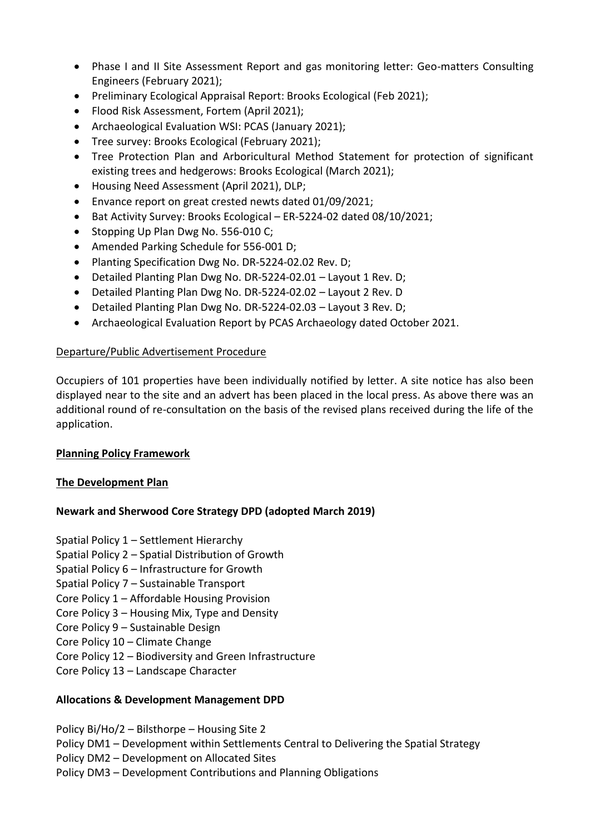- Phase I and II Site Assessment Report and gas monitoring letter: Geo-matters Consulting Engineers (February 2021);
- Preliminary Ecological Appraisal Report: Brooks Ecological (Feb 2021);
- Flood Risk Assessment, Fortem (April 2021);
- Archaeological Evaluation WSI: PCAS (January 2021);
- Tree survey: Brooks Ecological (February 2021);
- Tree Protection Plan and Arboricultural Method Statement for protection of significant existing trees and hedgerows: Brooks Ecological (March 2021);
- Housing Need Assessment (April 2021), DLP;
- Envance report on great crested newts dated 01/09/2021;
- Bat Activity Survey: Brooks Ecological ER-5224-02 dated 08/10/2021;
- Stopping Up Plan Dwg No. 556-010 C;
- Amended Parking Schedule for 556-001 D;
- Planting Specification Dwg No. DR-5224-02.02 Rev. D;
- Detailed Planting Plan Dwg No. DR-5224-02.01 Layout 1 Rev. D;
- Detailed Planting Plan Dwg No. DR-5224-02.02 Layout 2 Rev. D
- Detailed Planting Plan Dwg No. DR-5224-02.03 Layout 3 Rev. D;
- Archaeological Evaluation Report by PCAS Archaeology dated October 2021.

## Departure/Public Advertisement Procedure

Occupiers of 101 properties have been individually notified by letter. A site notice has also been displayed near to the site and an advert has been placed in the local press. As above there was an additional round of re-consultation on the basis of the revised plans received during the life of the application.

#### **Planning Policy Framework**

#### **The Development Plan**

# **Newark and Sherwood Core Strategy DPD (adopted March 2019)**

- Spatial Policy 1 Settlement Hierarchy
- Spatial Policy 2 Spatial Distribution of Growth
- Spatial Policy 6 Infrastructure for Growth
- Spatial Policy 7 Sustainable Transport
- Core Policy 1 Affordable Housing Provision
- Core Policy 3 Housing Mix, Type and Density
- Core Policy 9 Sustainable Design
- Core Policy 10 Climate Change
- Core Policy 12 Biodiversity and Green Infrastructure
- Core Policy 13 Landscape Character

# **Allocations & Development Management DPD**

Policy Bi/Ho/2 – Bilsthorpe – Housing Site 2 Policy DM1 – Development within Settlements Central to Delivering the Spatial Strategy Policy DM2 – Development on Allocated Sites Policy DM3 – Development Contributions and Planning Obligations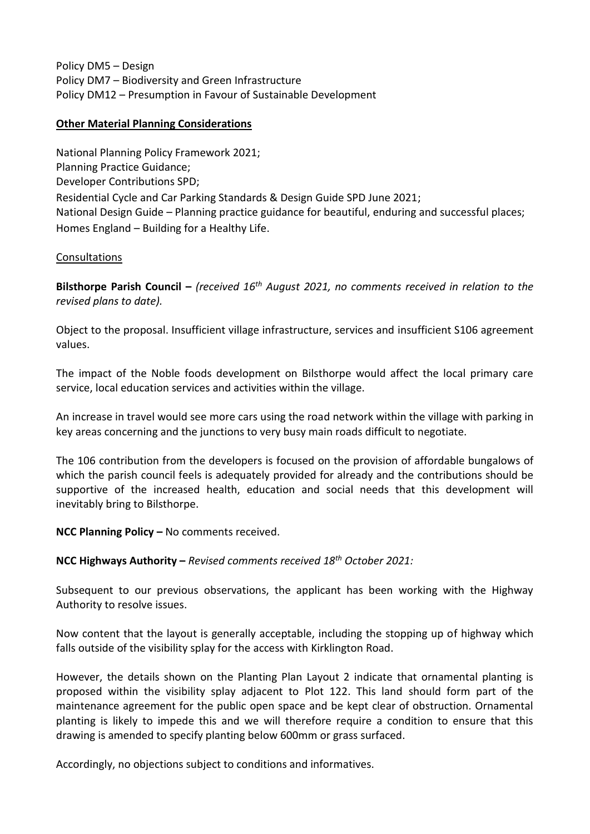Policy DM5 – Design Policy DM7 – Biodiversity and Green Infrastructure Policy DM12 – Presumption in Favour of Sustainable Development

## **Other Material Planning Considerations**

National Planning Policy Framework 2021; Planning Practice Guidance; Developer Contributions SPD; Residential Cycle and Car Parking Standards & Design Guide SPD June 2021; National Design Guide – Planning practice guidance for beautiful, enduring and successful places; Homes England – Building for a Healthy Life.

## Consultations

**Bilsthorpe Parish Council –** *(received 16th August 2021, no comments received in relation to the revised plans to date).* 

Object to the proposal. Insufficient village infrastructure, services and insufficient S106 agreement values.

The impact of the Noble foods development on Bilsthorpe would affect the local primary care service, local education services and activities within the village.

An increase in travel would see more cars using the road network within the village with parking in key areas concerning and the junctions to very busy main roads difficult to negotiate.

The 106 contribution from the developers is focused on the provision of affordable bungalows of which the parish council feels is adequately provided for already and the contributions should be supportive of the increased health, education and social needs that this development will inevitably bring to Bilsthorpe.

**NCC Planning Policy –** No comments received.

**NCC Highways Authority –** *Revised comments received 18th October 2021:*

Subsequent to our previous observations, the applicant has been working with the Highway Authority to resolve issues.

Now content that the layout is generally acceptable, including the stopping up of highway which falls outside of the visibility splay for the access with Kirklington Road.

However, the details shown on the Planting Plan Layout 2 indicate that ornamental planting is proposed within the visibility splay adjacent to Plot 122. This land should form part of the maintenance agreement for the public open space and be kept clear of obstruction. Ornamental planting is likely to impede this and we will therefore require a condition to ensure that this drawing is amended to specify planting below 600mm or grass surfaced.

Accordingly, no objections subject to conditions and informatives.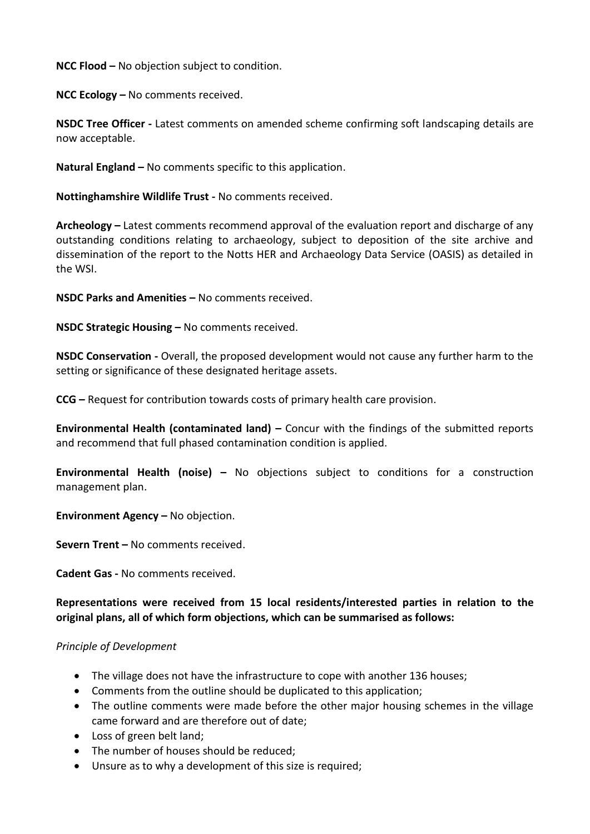**NCC Flood –** No objection subject to condition.

**NCC Ecology –** No comments received.

**NSDC Tree Officer -** Latest comments on amended scheme confirming soft landscaping details are now acceptable.

**Natural England –** No comments specific to this application.

**Nottinghamshire Wildlife Trust -** No comments received.

**Archeology –** Latest comments recommend approval of the evaluation report and discharge of any outstanding conditions relating to archaeology, subject to deposition of the site archive and dissemination of the report to the Notts HER and Archaeology Data Service (OASIS) as detailed in the WSI.

**NSDC Parks and Amenities –** No comments received.

**NSDC Strategic Housing –** No comments received.

**NSDC Conservation -** Overall, the proposed development would not cause any further harm to the setting or significance of these designated heritage assets.

**CCG –** Request for contribution towards costs of primary health care provision.

**Environmental Health (contaminated land) –** Concur with the findings of the submitted reports and recommend that full phased contamination condition is applied.

**Environmental Health (noise) –** No objections subject to conditions for a construction management plan.

**Environment Agency –** No objection.

**Severn Trent –** No comments received.

**Cadent Gas -** No comments received.

**Representations were received from 15 local residents/interested parties in relation to the original plans, all of which form objections, which can be summarised as follows:** 

#### *Principle of Development*

- The village does not have the infrastructure to cope with another 136 houses;
- Comments from the outline should be duplicated to this application;
- The outline comments were made before the other major housing schemes in the village came forward and are therefore out of date;
- Loss of green belt land;
- The number of houses should be reduced:
- Unsure as to why a development of this size is required;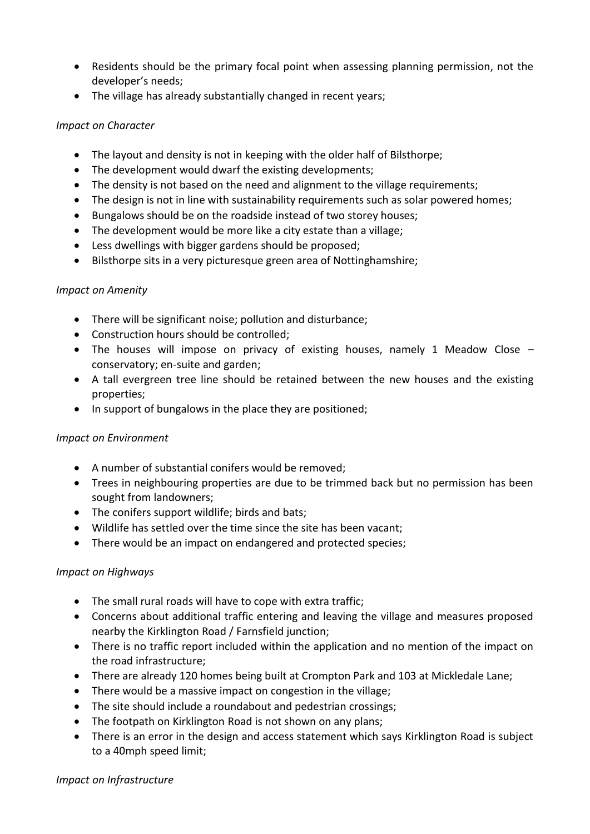- Residents should be the primary focal point when assessing planning permission, not the developer's needs;
- The village has already substantially changed in recent years;

## *Impact on Character*

- The layout and density is not in keeping with the older half of Bilsthorpe;
- The development would dwarf the existing developments;
- The density is not based on the need and alignment to the village requirements;
- The design is not in line with sustainability requirements such as solar powered homes;
- Bungalows should be on the roadside instead of two storey houses;
- The development would be more like a city estate than a village;
- Less dwellings with bigger gardens should be proposed;
- Bilsthorpe sits in a very picturesque green area of Nottinghamshire;

# *Impact on Amenity*

- There will be significant noise; pollution and disturbance;
- Construction hours should be controlled;
- The houses will impose on privacy of existing houses, namely 1 Meadow Close conservatory; en-suite and garden;
- A tall evergreen tree line should be retained between the new houses and the existing properties;
- In support of bungalows in the place they are positioned;

# *Impact on Environment*

- A number of substantial conifers would be removed;
- Trees in neighbouring properties are due to be trimmed back but no permission has been sought from landowners;
- The conifers support wildlife; birds and bats;
- Wildlife has settled over the time since the site has been vacant;
- There would be an impact on endangered and protected species;

# *Impact on Highways*

- The small rural roads will have to cope with extra traffic;
- Concerns about additional traffic entering and leaving the village and measures proposed nearby the Kirklington Road / Farnsfield junction;
- There is no traffic report included within the application and no mention of the impact on the road infrastructure;
- There are already 120 homes being built at Crompton Park and 103 at Mickledale Lane;
- There would be a massive impact on congestion in the village;
- The site should include a roundabout and pedestrian crossings;
- The footpath on Kirklington Road is not shown on any plans;
- There is an error in the design and access statement which says Kirklington Road is subject to a 40mph speed limit;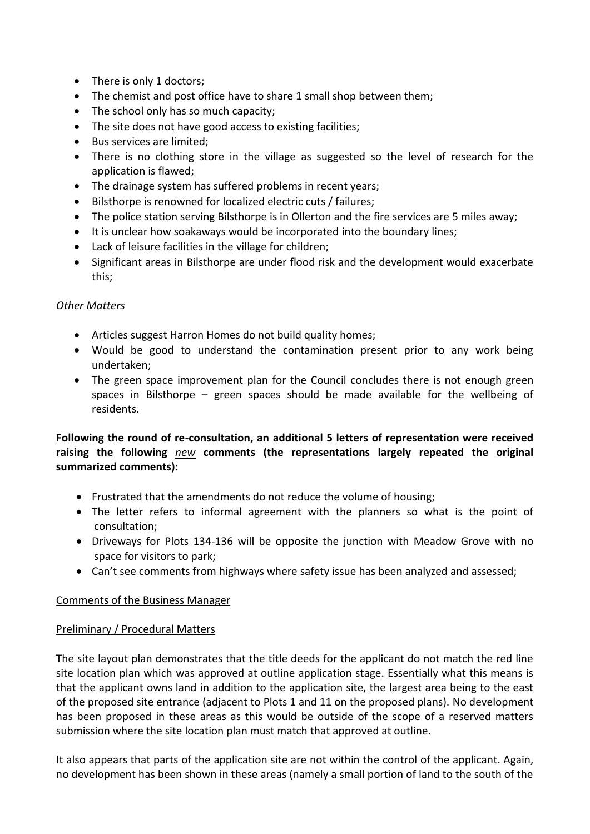- There is only 1 doctors;
- The chemist and post office have to share 1 small shop between them;
- The school only has so much capacity;
- The site does not have good access to existing facilities:
- Bus services are limited;
- There is no clothing store in the village as suggested so the level of research for the application is flawed;
- The drainage system has suffered problems in recent years;
- Bilsthorpe is renowned for localized electric cuts / failures;
- The police station serving Bilsthorpe is in Ollerton and the fire services are 5 miles away;
- It is unclear how soakaways would be incorporated into the boundary lines;
- Lack of leisure facilities in the village for children;
- Significant areas in Bilsthorpe are under flood risk and the development would exacerbate this;

## *Other Matters*

- Articles suggest Harron Homes do not build quality homes;
- Would be good to understand the contamination present prior to any work being undertaken;
- The green space improvement plan for the Council concludes there is not enough green spaces in Bilsthorpe – green spaces should be made available for the wellbeing of residents.

# **Following the round of re-consultation, an additional 5 letters of representation were received raising the following** *new* **comments (the representations largely repeated the original summarized comments):**

- Frustrated that the amendments do not reduce the volume of housing;
- The letter refers to informal agreement with the planners so what is the point of consultation;
- Driveways for Plots 134-136 will be opposite the junction with Meadow Grove with no space for visitors to park;
- Can't see comments from highways where safety issue has been analyzed and assessed;

# Comments of the Business Manager

# Preliminary / Procedural Matters

The site layout plan demonstrates that the title deeds for the applicant do not match the red line site location plan which was approved at outline application stage. Essentially what this means is that the applicant owns land in addition to the application site, the largest area being to the east of the proposed site entrance (adjacent to Plots 1 and 11 on the proposed plans). No development has been proposed in these areas as this would be outside of the scope of a reserved matters submission where the site location plan must match that approved at outline.

It also appears that parts of the application site are not within the control of the applicant. Again, no development has been shown in these areas (namely a small portion of land to the south of the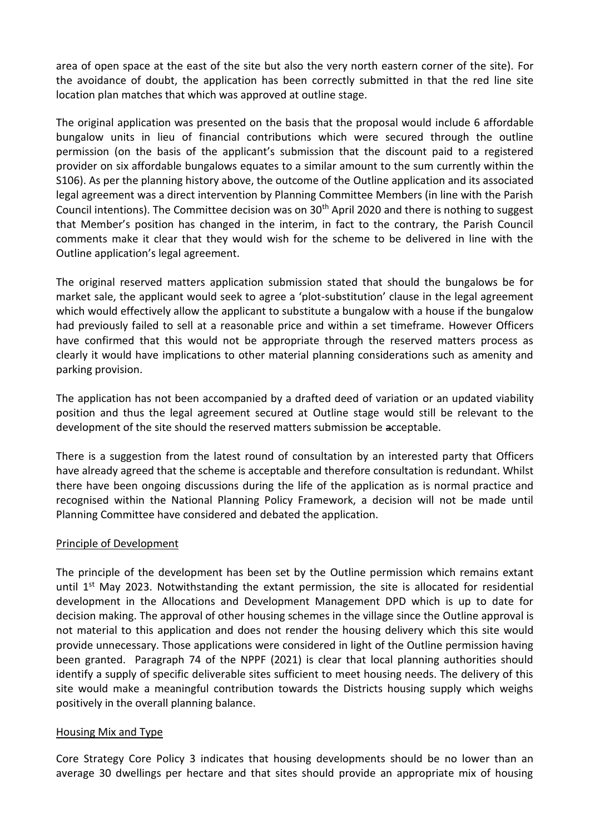area of open space at the east of the site but also the very north eastern corner of the site). For the avoidance of doubt, the application has been correctly submitted in that the red line site location plan matches that which was approved at outline stage.

The original application was presented on the basis that the proposal would include 6 affordable bungalow units in lieu of financial contributions which were secured through the outline permission (on the basis of the applicant's submission that the discount paid to a registered provider on six affordable bungalows equates to a similar amount to the sum currently within the S106). As per the planning history above, the outcome of the Outline application and its associated legal agreement was a direct intervention by Planning Committee Members (in line with the Parish Council intentions). The Committee decision was on  $30<sup>th</sup>$  April 2020 and there is nothing to suggest that Member's position has changed in the interim, in fact to the contrary, the Parish Council comments make it clear that they would wish for the scheme to be delivered in line with the Outline application's legal agreement.

The original reserved matters application submission stated that should the bungalows be for market sale, the applicant would seek to agree a 'plot-substitution' clause in the legal agreement which would effectively allow the applicant to substitute a bungalow with a house if the bungalow had previously failed to sell at a reasonable price and within a set timeframe. However Officers have confirmed that this would not be appropriate through the reserved matters process as clearly it would have implications to other material planning considerations such as amenity and parking provision.

The application has not been accompanied by a drafted deed of variation or an updated viability position and thus the legal agreement secured at Outline stage would still be relevant to the development of the site should the reserved matters submission be acceptable.

There is a suggestion from the latest round of consultation by an interested party that Officers have already agreed that the scheme is acceptable and therefore consultation is redundant. Whilst there have been ongoing discussions during the life of the application as is normal practice and recognised within the National Planning Policy Framework, a decision will not be made until Planning Committee have considered and debated the application.

#### Principle of Development

The principle of the development has been set by the Outline permission which remains extant until  $1<sup>st</sup>$  May 2023. Notwithstanding the extant permission, the site is allocated for residential development in the Allocations and Development Management DPD which is up to date for decision making. The approval of other housing schemes in the village since the Outline approval is not material to this application and does not render the housing delivery which this site would provide unnecessary. Those applications were considered in light of the Outline permission having been granted. Paragraph 74 of the NPPF (2021) is clear that local planning authorities should identify a supply of specific deliverable sites sufficient to meet housing needs. The delivery of this site would make a meaningful contribution towards the Districts housing supply which weighs positively in the overall planning balance.

#### Housing Mix and Type

Core Strategy Core Policy 3 indicates that housing developments should be no lower than an average 30 dwellings per hectare and that sites should provide an appropriate mix of housing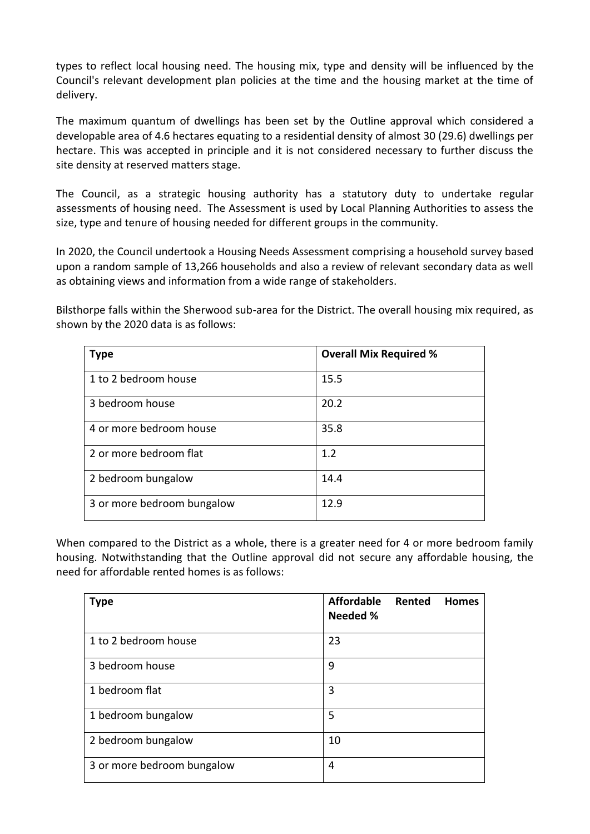types to reflect local housing need. The housing mix, type and density will be influenced by the Council's relevant development plan policies at the time and the housing market at the time of delivery.

The maximum quantum of dwellings has been set by the Outline approval which considered a developable area of 4.6 hectares equating to a residential density of almost 30 (29.6) dwellings per hectare. This was accepted in principle and it is not considered necessary to further discuss the site density at reserved matters stage.

The Council, as a strategic housing authority has a statutory duty to undertake regular assessments of housing need. The Assessment is used by Local Planning Authorities to assess the size, type and tenure of housing needed for different groups in the community.

In 2020, the Council undertook a Housing Needs Assessment comprising a household survey based upon a random sample of 13,266 households and also a review of relevant secondary data as well as obtaining views and information from a wide range of stakeholders.

Bilsthorpe falls within the Sherwood sub-area for the District. The overall housing mix required, as shown by the 2020 data is as follows:

| <b>Type</b>                | <b>Overall Mix Required %</b> |  |  |
|----------------------------|-------------------------------|--|--|
| 1 to 2 bedroom house       | 15.5                          |  |  |
| 3 bedroom house            | 20.2                          |  |  |
| 4 or more bedroom house    | 35.8                          |  |  |
| 2 or more bedroom flat     | 1.2                           |  |  |
| 2 bedroom bungalow         | 14.4                          |  |  |
| 3 or more bedroom bungalow | 12.9                          |  |  |

When compared to the District as a whole, there is a greater need for 4 or more bedroom family housing. Notwithstanding that the Outline approval did not secure any affordable housing, the need for affordable rented homes is as follows:

| <b>Type</b>                | <b>Affordable</b><br>Rented<br><b>Homes</b><br><b>Needed %</b> |
|----------------------------|----------------------------------------------------------------|
| 1 to 2 bedroom house       | 23                                                             |
| 3 bedroom house            | 9                                                              |
| 1 bedroom flat             | 3                                                              |
| 1 bedroom bungalow         | 5                                                              |
| 2 bedroom bungalow         | 10                                                             |
| 3 or more bedroom bungalow | 4                                                              |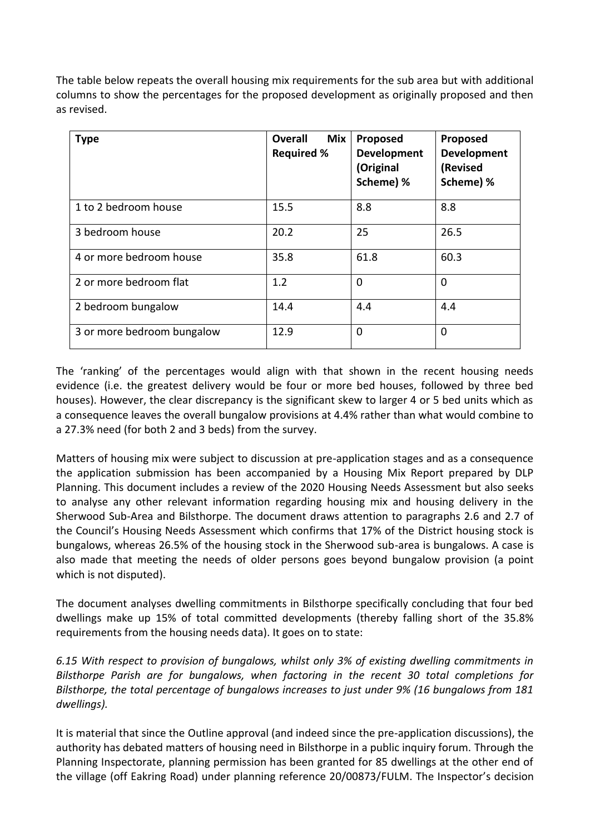The table below repeats the overall housing mix requirements for the sub area but with additional columns to show the percentages for the proposed development as originally proposed and then as revised.

| <b>Type</b>                | <b>Overall</b><br><b>Mix</b><br><b>Required %</b> | Proposed<br><b>Development</b><br>(Original<br>Scheme) % | Proposed<br><b>Development</b><br>(Revised<br>Scheme) % |
|----------------------------|---------------------------------------------------|----------------------------------------------------------|---------------------------------------------------------|
| 1 to 2 bedroom house       | 15.5                                              | 8.8                                                      | 8.8                                                     |
| 3 bedroom house            | 20.2                                              | 25                                                       | 26.5                                                    |
| 4 or more bedroom house    | 35.8                                              | 61.8                                                     | 60.3                                                    |
| 2 or more bedroom flat     | 1.2                                               | $\overline{0}$                                           | 0                                                       |
| 2 bedroom bungalow         | 14.4                                              | 4.4                                                      | 4.4                                                     |
| 3 or more bedroom bungalow | 12.9                                              | 0                                                        | 0                                                       |

The 'ranking' of the percentages would align with that shown in the recent housing needs evidence (i.e. the greatest delivery would be four or more bed houses, followed by three bed houses). However, the clear discrepancy is the significant skew to larger 4 or 5 bed units which as a consequence leaves the overall bungalow provisions at 4.4% rather than what would combine to a 27.3% need (for both 2 and 3 beds) from the survey.

Matters of housing mix were subject to discussion at pre-application stages and as a consequence the application submission has been accompanied by a Housing Mix Report prepared by DLP Planning. This document includes a review of the 2020 Housing Needs Assessment but also seeks to analyse any other relevant information regarding housing mix and housing delivery in the Sherwood Sub-Area and Bilsthorpe. The document draws attention to paragraphs 2.6 and 2.7 of the Council's Housing Needs Assessment which confirms that 17% of the District housing stock is bungalows, whereas 26.5% of the housing stock in the Sherwood sub-area is bungalows. A case is also made that meeting the needs of older persons goes beyond bungalow provision (a point which is not disputed).

The document analyses dwelling commitments in Bilsthorpe specifically concluding that four bed dwellings make up 15% of total committed developments (thereby falling short of the 35.8% requirements from the housing needs data). It goes on to state:

*6.15 With respect to provision of bungalows, whilst only 3% of existing dwelling commitments in Bilsthorpe Parish are for bungalows, when factoring in the recent 30 total completions for Bilsthorpe, the total percentage of bungalows increases to just under 9% (16 bungalows from 181 dwellings).* 

It is material that since the Outline approval (and indeed since the pre-application discussions), the authority has debated matters of housing need in Bilsthorpe in a public inquiry forum. Through the Planning Inspectorate, planning permission has been granted for 85 dwellings at the other end of the village (off Eakring Road) under planning reference 20/00873/FULM. The Inspector's decision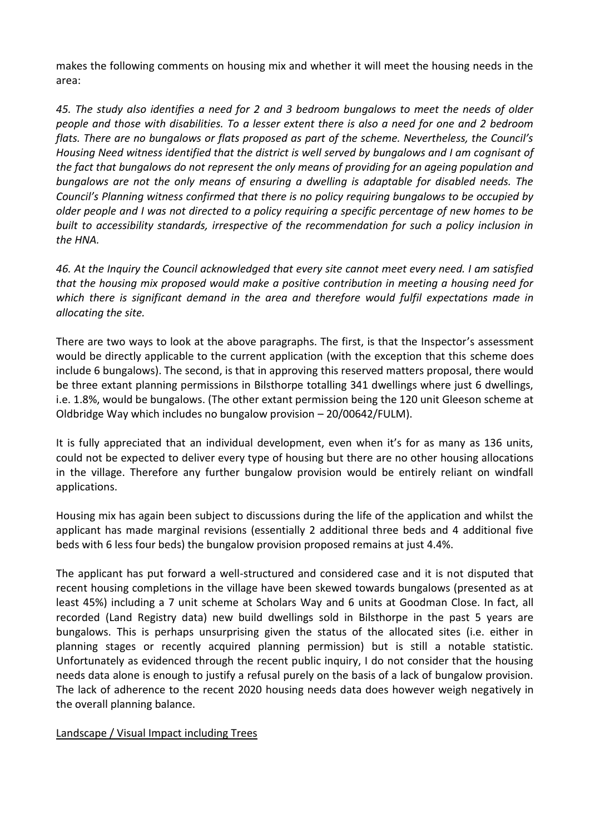makes the following comments on housing mix and whether it will meet the housing needs in the area:

*45. The study also identifies a need for 2 and 3 bedroom bungalows to meet the needs of older people and those with disabilities. To a lesser extent there is also a need for one and 2 bedroom flats. There are no bungalows or flats proposed as part of the scheme. Nevertheless, the Council's Housing Need witness identified that the district is well served by bungalows and I am cognisant of the fact that bungalows do not represent the only means of providing for an ageing population and bungalows are not the only means of ensuring a dwelling is adaptable for disabled needs. The Council's Planning witness confirmed that there is no policy requiring bungalows to be occupied by older people and I was not directed to a policy requiring a specific percentage of new homes to be built to accessibility standards, irrespective of the recommendation for such a policy inclusion in the HNA.* 

*46. At the Inquiry the Council acknowledged that every site cannot meet every need. I am satisfied that the housing mix proposed would make a positive contribution in meeting a housing need for which there is significant demand in the area and therefore would fulfil expectations made in allocating the site.*

There are two ways to look at the above paragraphs. The first, is that the Inspector's assessment would be directly applicable to the current application (with the exception that this scheme does include 6 bungalows). The second, is that in approving this reserved matters proposal, there would be three extant planning permissions in Bilsthorpe totalling 341 dwellings where just 6 dwellings, i.e. 1.8%, would be bungalows. (The other extant permission being the 120 unit Gleeson scheme at Oldbridge Way which includes no bungalow provision – 20/00642/FULM).

It is fully appreciated that an individual development, even when it's for as many as 136 units, could not be expected to deliver every type of housing but there are no other housing allocations in the village. Therefore any further bungalow provision would be entirely reliant on windfall applications.

Housing mix has again been subject to discussions during the life of the application and whilst the applicant has made marginal revisions (essentially 2 additional three beds and 4 additional five beds with 6 less four beds) the bungalow provision proposed remains at just 4.4%.

The applicant has put forward a well-structured and considered case and it is not disputed that recent housing completions in the village have been skewed towards bungalows (presented as at least 45%) including a 7 unit scheme at Scholars Way and 6 units at Goodman Close. In fact, all recorded (Land Registry data) new build dwellings sold in Bilsthorpe in the past 5 years are bungalows. This is perhaps unsurprising given the status of the allocated sites (i.e. either in planning stages or recently acquired planning permission) but is still a notable statistic. Unfortunately as evidenced through the recent public inquiry, I do not consider that the housing needs data alone is enough to justify a refusal purely on the basis of a lack of bungalow provision. The lack of adherence to the recent 2020 housing needs data does however weigh negatively in the overall planning balance.

# Landscape / Visual Impact including Trees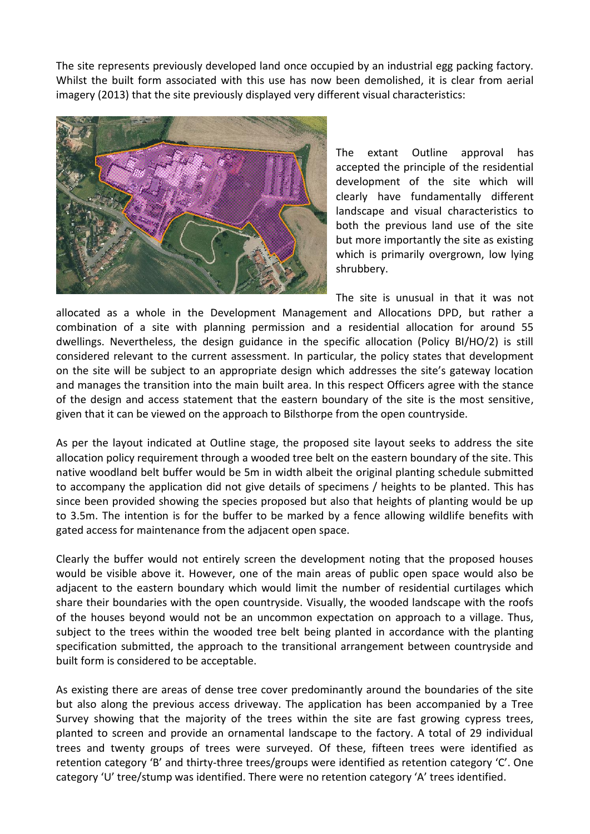The site represents previously developed land once occupied by an industrial egg packing factory. Whilst the built form associated with this use has now been demolished, it is clear from aerial imagery (2013) that the site previously displayed very different visual characteristics:



The extant Outline approval has accepted the principle of the residential development of the site which will clearly have fundamentally different landscape and visual characteristics to both the previous land use of the site but more importantly the site as existing which is primarily overgrown, low lying shrubbery.

The site is unusual in that it was not allocated as a whole in the Development Management and Allocations DPD, but rather a combination of a site with planning permission and a residential allocation for around 55 dwellings. Nevertheless, the design guidance in the specific allocation (Policy BI/HO/2) is still considered relevant to the current assessment. In particular, the policy states that development on the site will be subject to an appropriate design which addresses the site's gateway location and manages the transition into the main built area. In this respect Officers agree with the stance of the design and access statement that the eastern boundary of the site is the most sensitive, given that it can be viewed on the approach to Bilsthorpe from the open countryside.

As per the layout indicated at Outline stage, the proposed site layout seeks to address the site allocation policy requirement through a wooded tree belt on the eastern boundary of the site. This native woodland belt buffer would be 5m in width albeit the original planting schedule submitted to accompany the application did not give details of specimens / heights to be planted. This has since been provided showing the species proposed but also that heights of planting would be up to 3.5m. The intention is for the buffer to be marked by a fence allowing wildlife benefits with gated access for maintenance from the adjacent open space.

Clearly the buffer would not entirely screen the development noting that the proposed houses would be visible above it. However, one of the main areas of public open space would also be adjacent to the eastern boundary which would limit the number of residential curtilages which share their boundaries with the open countryside. Visually, the wooded landscape with the roofs of the houses beyond would not be an uncommon expectation on approach to a village. Thus, subject to the trees within the wooded tree belt being planted in accordance with the planting specification submitted, the approach to the transitional arrangement between countryside and built form is considered to be acceptable.

As existing there are areas of dense tree cover predominantly around the boundaries of the site but also along the previous access driveway. The application has been accompanied by a Tree Survey showing that the majority of the trees within the site are fast growing cypress trees, planted to screen and provide an ornamental landscape to the factory. A total of 29 individual trees and twenty groups of trees were surveyed. Of these, fifteen trees were identified as retention category 'B' and thirty-three trees/groups were identified as retention category 'C'. One category 'U' tree/stump was identified. There were no retention category 'A' trees identified.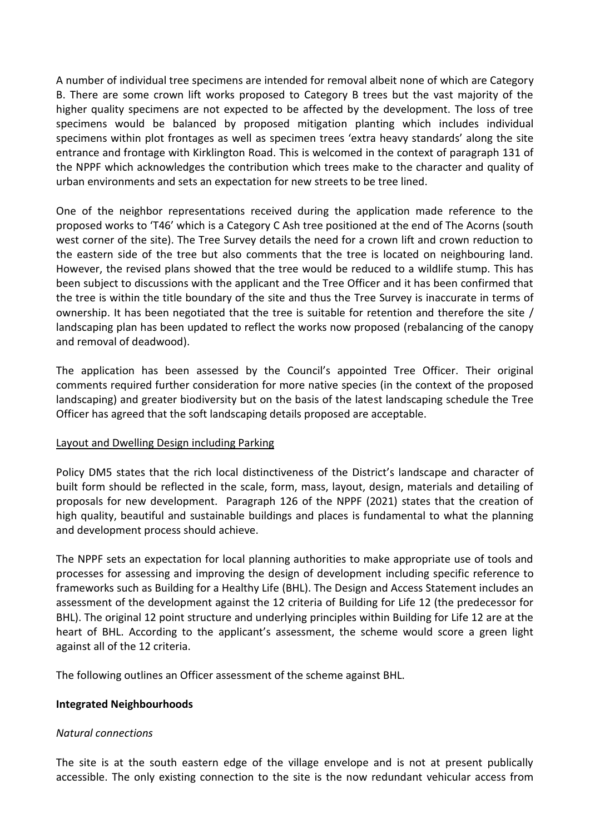A number of individual tree specimens are intended for removal albeit none of which are Category B. There are some crown lift works proposed to Category B trees but the vast majority of the higher quality specimens are not expected to be affected by the development. The loss of tree specimens would be balanced by proposed mitigation planting which includes individual specimens within plot frontages as well as specimen trees 'extra heavy standards' along the site entrance and frontage with Kirklington Road. This is welcomed in the context of paragraph 131 of the NPPF which acknowledges the contribution which trees make to the character and quality of urban environments and sets an expectation for new streets to be tree lined.

One of the neighbor representations received during the application made reference to the proposed works to 'T46' which is a Category C Ash tree positioned at the end of The Acorns (south west corner of the site). The Tree Survey details the need for a crown lift and crown reduction to the eastern side of the tree but also comments that the tree is located on neighbouring land. However, the revised plans showed that the tree would be reduced to a wildlife stump. This has been subject to discussions with the applicant and the Tree Officer and it has been confirmed that the tree is within the title boundary of the site and thus the Tree Survey is inaccurate in terms of ownership. It has been negotiated that the tree is suitable for retention and therefore the site / landscaping plan has been updated to reflect the works now proposed (rebalancing of the canopy and removal of deadwood).

The application has been assessed by the Council's appointed Tree Officer. Their original comments required further consideration for more native species (in the context of the proposed landscaping) and greater biodiversity but on the basis of the latest landscaping schedule the Tree Officer has agreed that the soft landscaping details proposed are acceptable.

#### Layout and Dwelling Design including Parking

Policy DM5 states that the rich local distinctiveness of the District's landscape and character of built form should be reflected in the scale, form, mass, layout, design, materials and detailing of proposals for new development. Paragraph 126 of the NPPF (2021) states that the creation of high quality, beautiful and sustainable buildings and places is fundamental to what the planning and development process should achieve.

The NPPF sets an expectation for local planning authorities to make appropriate use of tools and processes for assessing and improving the design of development including specific reference to frameworks such as Building for a Healthy Life (BHL). The Design and Access Statement includes an assessment of the development against the 12 criteria of Building for Life 12 (the predecessor for BHL). The original 12 point structure and underlying principles within Building for Life 12 are at the heart of BHL. According to the applicant's assessment, the scheme would score a green light against all of the 12 criteria.

The following outlines an Officer assessment of the scheme against BHL.

#### **Integrated Neighbourhoods**

#### *Natural connections*

The site is at the south eastern edge of the village envelope and is not at present publically accessible. The only existing connection to the site is the now redundant vehicular access from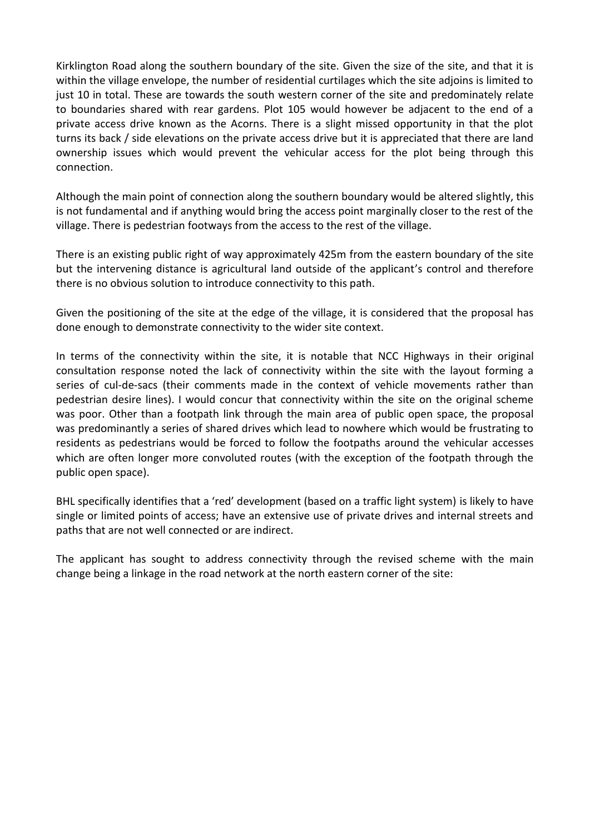Kirklington Road along the southern boundary of the site. Given the size of the site, and that it is within the village envelope, the number of residential curtilages which the site adjoins is limited to just 10 in total. These are towards the south western corner of the site and predominately relate to boundaries shared with rear gardens. Plot 105 would however be adjacent to the end of a private access drive known as the Acorns. There is a slight missed opportunity in that the plot turns its back / side elevations on the private access drive but it is appreciated that there are land ownership issues which would prevent the vehicular access for the plot being through this connection.

Although the main point of connection along the southern boundary would be altered slightly, this is not fundamental and if anything would bring the access point marginally closer to the rest of the village. There is pedestrian footways from the access to the rest of the village.

There is an existing public right of way approximately 425m from the eastern boundary of the site but the intervening distance is agricultural land outside of the applicant's control and therefore there is no obvious solution to introduce connectivity to this path.

Given the positioning of the site at the edge of the village, it is considered that the proposal has done enough to demonstrate connectivity to the wider site context.

In terms of the connectivity within the site, it is notable that NCC Highways in their original consultation response noted the lack of connectivity within the site with the layout forming a series of cul-de-sacs (their comments made in the context of vehicle movements rather than pedestrian desire lines). I would concur that connectivity within the site on the original scheme was poor. Other than a footpath link through the main area of public open space, the proposal was predominantly a series of shared drives which lead to nowhere which would be frustrating to residents as pedestrians would be forced to follow the footpaths around the vehicular accesses which are often longer more convoluted routes (with the exception of the footpath through the public open space).

BHL specifically identifies that a 'red' development (based on a traffic light system) is likely to have single or limited points of access; have an extensive use of private drives and internal streets and paths that are not well connected or are indirect.

The applicant has sought to address connectivity through the revised scheme with the main change being a linkage in the road network at the north eastern corner of the site: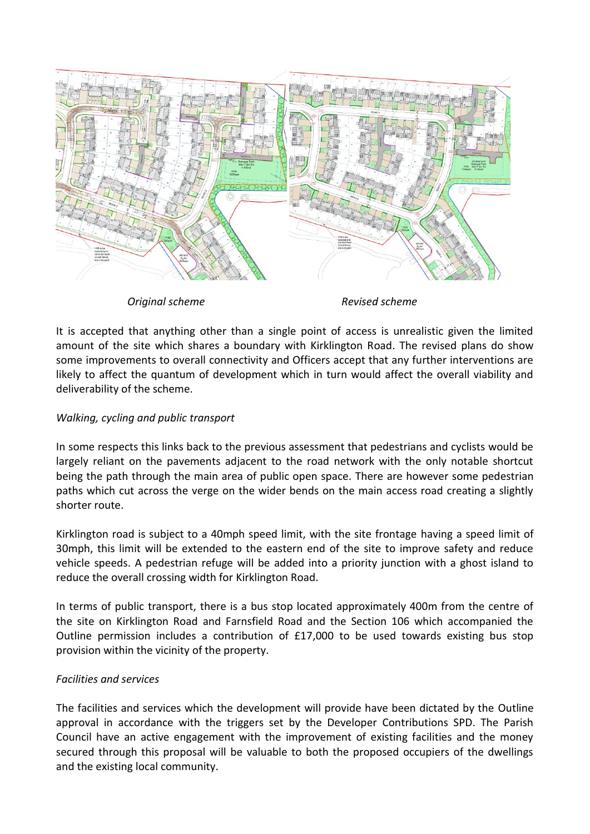

*Original scheme Revised scheme*

It is accepted that anything other than a single point of access is unrealistic given the limited amount of the site which shares a boundary with Kirklington Road. The revised plans do show some improvements to overall connectivity and Officers accept that any further interventions are likely to affect the quantum of development which in turn would affect the overall viability and deliverability of the scheme.

# *Walking, cycling and public transport*

In some respects this links back to the previous assessment that pedestrians and cyclists would be largely reliant on the pavements adjacent to the road network with the only notable shortcut being the path through the main area of public open space. There are however some pedestrian paths which cut across the verge on the wider bends on the main access road creating a slightly shorter route.

Kirklington road is subject to a 40mph speed limit, with the site frontage having a speed limit of 30mph, this limit will be extended to the eastern end of the site to improve safety and reduce vehicle speeds. A pedestrian refuge will be added into a priority junction with a ghost island to reduce the overall crossing width for Kirklington Road.

In terms of public transport, there is a bus stop located approximately 400m from the centre of the site on Kirklington Road and Farnsfield Road and the Section 106 which accompanied the Outline permission includes a contribution of £17,000 to be used towards existing bus stop provision within the vicinity of the property.

# *Facilities and services*

The facilities and services which the development will provide have been dictated by the Outline approval in accordance with the triggers set by the Developer Contributions SPD. The Parish Council have an active engagement with the improvement of existing facilities and the money secured through this proposal will be valuable to both the proposed occupiers of the dwellings and the existing local community.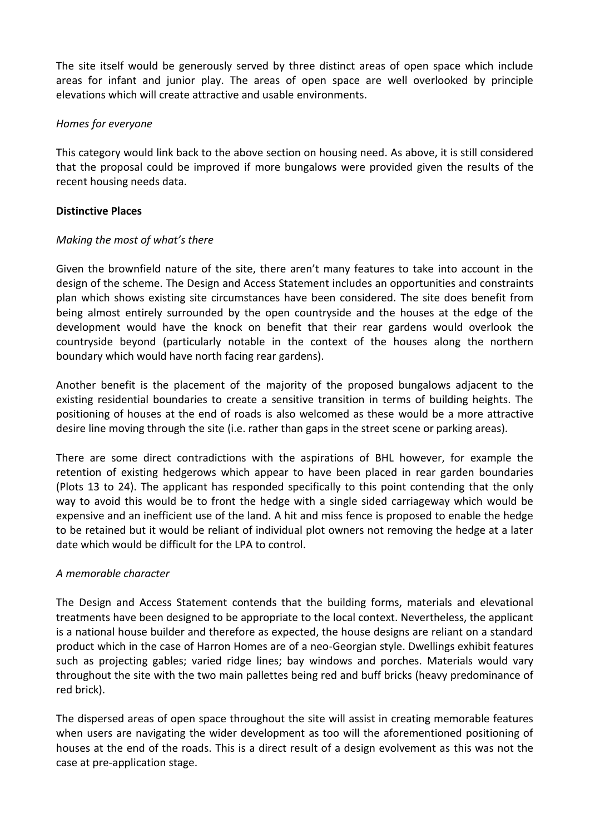The site itself would be generously served by three distinct areas of open space which include areas for infant and junior play. The areas of open space are well overlooked by principle elevations which will create attractive and usable environments.

### *Homes for everyone*

This category would link back to the above section on housing need. As above, it is still considered that the proposal could be improved if more bungalows were provided given the results of the recent housing needs data.

## **Distinctive Places**

## *Making the most of what's there*

Given the brownfield nature of the site, there aren't many features to take into account in the design of the scheme. The Design and Access Statement includes an opportunities and constraints plan which shows existing site circumstances have been considered. The site does benefit from being almost entirely surrounded by the open countryside and the houses at the edge of the development would have the knock on benefit that their rear gardens would overlook the countryside beyond (particularly notable in the context of the houses along the northern boundary which would have north facing rear gardens).

Another benefit is the placement of the majority of the proposed bungalows adjacent to the existing residential boundaries to create a sensitive transition in terms of building heights. The positioning of houses at the end of roads is also welcomed as these would be a more attractive desire line moving through the site (i.e. rather than gaps in the street scene or parking areas).

There are some direct contradictions with the aspirations of BHL however, for example the retention of existing hedgerows which appear to have been placed in rear garden boundaries (Plots 13 to 24). The applicant has responded specifically to this point contending that the only way to avoid this would be to front the hedge with a single sided carriageway which would be expensive and an inefficient use of the land. A hit and miss fence is proposed to enable the hedge to be retained but it would be reliant of individual plot owners not removing the hedge at a later date which would be difficult for the LPA to control.

#### *A memorable character*

The Design and Access Statement contends that the building forms, materials and elevational treatments have been designed to be appropriate to the local context. Nevertheless, the applicant is a national house builder and therefore as expected, the house designs are reliant on a standard product which in the case of Harron Homes are of a neo-Georgian style. Dwellings exhibit features such as projecting gables; varied ridge lines; bay windows and porches. Materials would vary throughout the site with the two main pallettes being red and buff bricks (heavy predominance of red brick).

The dispersed areas of open space throughout the site will assist in creating memorable features when users are navigating the wider development as too will the aforementioned positioning of houses at the end of the roads. This is a direct result of a design evolvement as this was not the case at pre-application stage.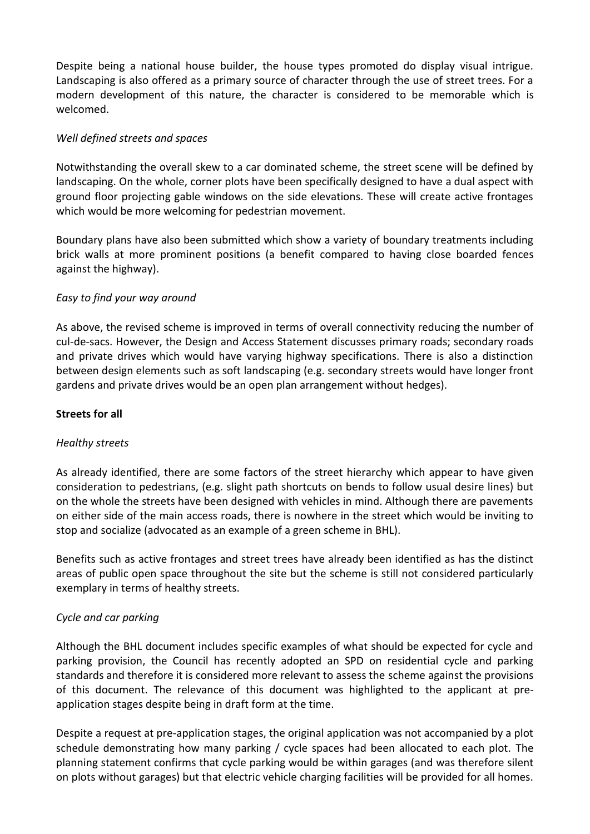Despite being a national house builder, the house types promoted do display visual intrigue. Landscaping is also offered as a primary source of character through the use of street trees. For a modern development of this nature, the character is considered to be memorable which is welcomed.

### *Well defined streets and spaces*

Notwithstanding the overall skew to a car dominated scheme, the street scene will be defined by landscaping. On the whole, corner plots have been specifically designed to have a dual aspect with ground floor projecting gable windows on the side elevations. These will create active frontages which would be more welcoming for pedestrian movement.

Boundary plans have also been submitted which show a variety of boundary treatments including brick walls at more prominent positions (a benefit compared to having close boarded fences against the highway).

## *Easy to find your way around*

As above, the revised scheme is improved in terms of overall connectivity reducing the number of cul-de-sacs. However, the Design and Access Statement discusses primary roads; secondary roads and private drives which would have varying highway specifications. There is also a distinction between design elements such as soft landscaping (e.g. secondary streets would have longer front gardens and private drives would be an open plan arrangement without hedges).

#### **Streets for all**

#### *Healthy streets*

As already identified, there are some factors of the street hierarchy which appear to have given consideration to pedestrians, (e.g. slight path shortcuts on bends to follow usual desire lines) but on the whole the streets have been designed with vehicles in mind. Although there are pavements on either side of the main access roads, there is nowhere in the street which would be inviting to stop and socialize (advocated as an example of a green scheme in BHL).

Benefits such as active frontages and street trees have already been identified as has the distinct areas of public open space throughout the site but the scheme is still not considered particularly exemplary in terms of healthy streets.

#### *Cycle and car parking*

Although the BHL document includes specific examples of what should be expected for cycle and parking provision, the Council has recently adopted an SPD on residential cycle and parking standards and therefore it is considered more relevant to assess the scheme against the provisions of this document. The relevance of this document was highlighted to the applicant at preapplication stages despite being in draft form at the time.

Despite a request at pre-application stages, the original application was not accompanied by a plot schedule demonstrating how many parking / cycle spaces had been allocated to each plot. The planning statement confirms that cycle parking would be within garages (and was therefore silent on plots without garages) but that electric vehicle charging facilities will be provided for all homes.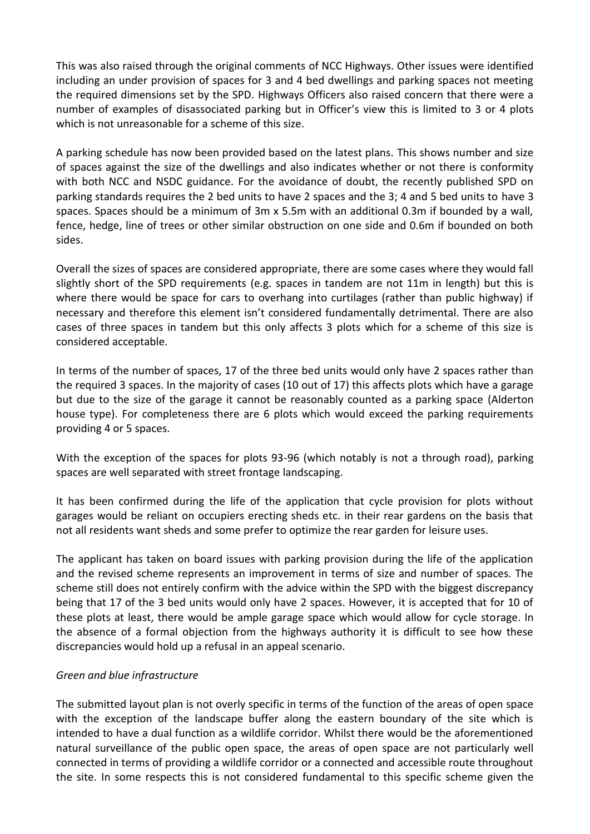This was also raised through the original comments of NCC Highways. Other issues were identified including an under provision of spaces for 3 and 4 bed dwellings and parking spaces not meeting the required dimensions set by the SPD. Highways Officers also raised concern that there were a number of examples of disassociated parking but in Officer's view this is limited to 3 or 4 plots which is not unreasonable for a scheme of this size.

A parking schedule has now been provided based on the latest plans. This shows number and size of spaces against the size of the dwellings and also indicates whether or not there is conformity with both NCC and NSDC guidance. For the avoidance of doubt, the recently published SPD on parking standards requires the 2 bed units to have 2 spaces and the 3; 4 and 5 bed units to have 3 spaces. Spaces should be a minimum of 3m x 5.5m with an additional 0.3m if bounded by a wall, fence, hedge, line of trees or other similar obstruction on one side and 0.6m if bounded on both sides.

Overall the sizes of spaces are considered appropriate, there are some cases where they would fall slightly short of the SPD requirements (e.g. spaces in tandem are not 11m in length) but this is where there would be space for cars to overhang into curtilages (rather than public highway) if necessary and therefore this element isn't considered fundamentally detrimental. There are also cases of three spaces in tandem but this only affects 3 plots which for a scheme of this size is considered acceptable.

In terms of the number of spaces, 17 of the three bed units would only have 2 spaces rather than the required 3 spaces. In the majority of cases (10 out of 17) this affects plots which have a garage but due to the size of the garage it cannot be reasonably counted as a parking space (Alderton house type). For completeness there are 6 plots which would exceed the parking requirements providing 4 or 5 spaces.

With the exception of the spaces for plots 93-96 (which notably is not a through road), parking spaces are well separated with street frontage landscaping.

It has been confirmed during the life of the application that cycle provision for plots without garages would be reliant on occupiers erecting sheds etc. in their rear gardens on the basis that not all residents want sheds and some prefer to optimize the rear garden for leisure uses.

The applicant has taken on board issues with parking provision during the life of the application and the revised scheme represents an improvement in terms of size and number of spaces. The scheme still does not entirely confirm with the advice within the SPD with the biggest discrepancy being that 17 of the 3 bed units would only have 2 spaces. However, it is accepted that for 10 of these plots at least, there would be ample garage space which would allow for cycle storage. In the absence of a formal objection from the highways authority it is difficult to see how these discrepancies would hold up a refusal in an appeal scenario.

# *Green and blue infrastructure*

The submitted layout plan is not overly specific in terms of the function of the areas of open space with the exception of the landscape buffer along the eastern boundary of the site which is intended to have a dual function as a wildlife corridor. Whilst there would be the aforementioned natural surveillance of the public open space, the areas of open space are not particularly well connected in terms of providing a wildlife corridor or a connected and accessible route throughout the site. In some respects this is not considered fundamental to this specific scheme given the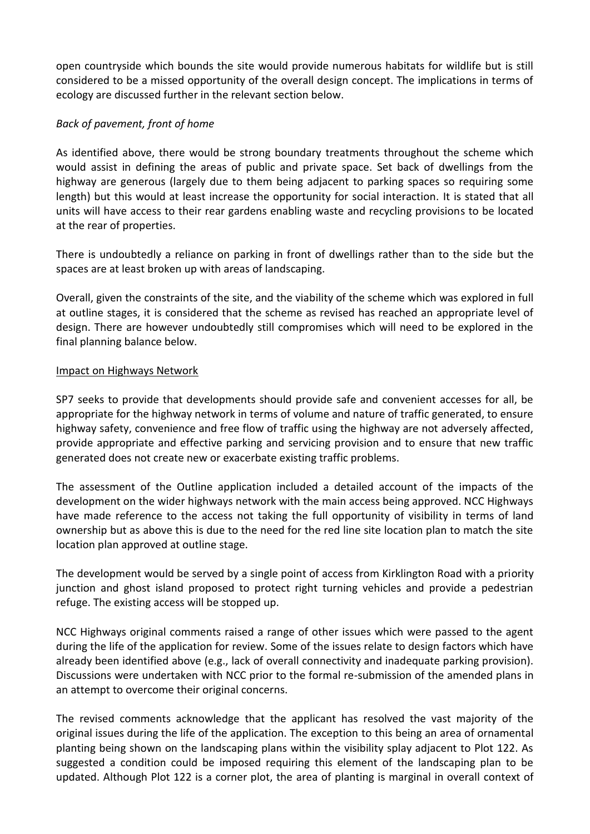open countryside which bounds the site would provide numerous habitats for wildlife but is still considered to be a missed opportunity of the overall design concept. The implications in terms of ecology are discussed further in the relevant section below.

# *Back of pavement, front of home*

As identified above, there would be strong boundary treatments throughout the scheme which would assist in defining the areas of public and private space. Set back of dwellings from the highway are generous (largely due to them being adjacent to parking spaces so requiring some length) but this would at least increase the opportunity for social interaction. It is stated that all units will have access to their rear gardens enabling waste and recycling provisions to be located at the rear of properties.

There is undoubtedly a reliance on parking in front of dwellings rather than to the side but the spaces are at least broken up with areas of landscaping.

Overall, given the constraints of the site, and the viability of the scheme which was explored in full at outline stages, it is considered that the scheme as revised has reached an appropriate level of design. There are however undoubtedly still compromises which will need to be explored in the final planning balance below.

## Impact on Highways Network

SP7 seeks to provide that developments should provide safe and convenient accesses for all, be appropriate for the highway network in terms of volume and nature of traffic generated, to ensure highway safety, convenience and free flow of traffic using the highway are not adversely affected, provide appropriate and effective parking and servicing provision and to ensure that new traffic generated does not create new or exacerbate existing traffic problems.

The assessment of the Outline application included a detailed account of the impacts of the development on the wider highways network with the main access being approved. NCC Highways have made reference to the access not taking the full opportunity of visibility in terms of land ownership but as above this is due to the need for the red line site location plan to match the site location plan approved at outline stage.

The development would be served by a single point of access from Kirklington Road with a priority junction and ghost island proposed to protect right turning vehicles and provide a pedestrian refuge. The existing access will be stopped up.

NCC Highways original comments raised a range of other issues which were passed to the agent during the life of the application for review. Some of the issues relate to design factors which have already been identified above (e.g., lack of overall connectivity and inadequate parking provision). Discussions were undertaken with NCC prior to the formal re-submission of the amended plans in an attempt to overcome their original concerns.

The revised comments acknowledge that the applicant has resolved the vast majority of the original issues during the life of the application. The exception to this being an area of ornamental planting being shown on the landscaping plans within the visibility splay adjacent to Plot 122. As suggested a condition could be imposed requiring this element of the landscaping plan to be updated. Although Plot 122 is a corner plot, the area of planting is marginal in overall context of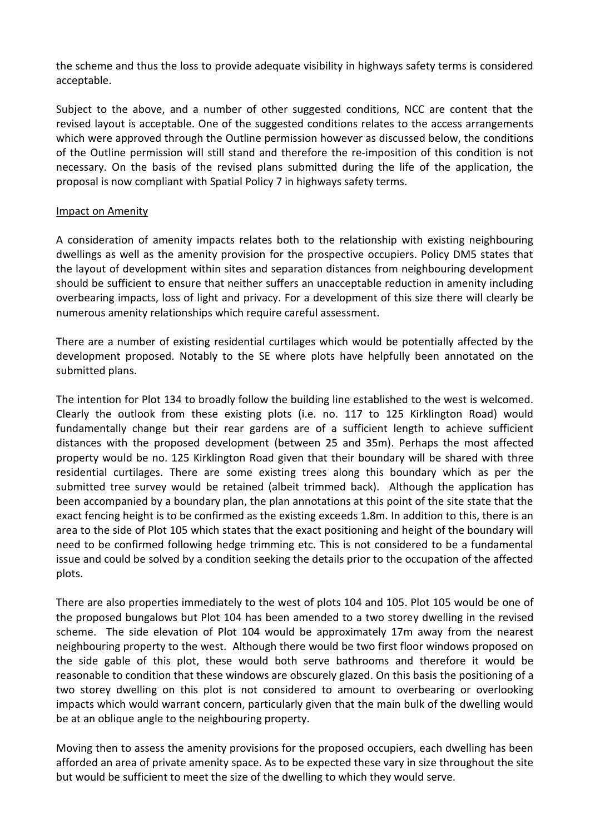the scheme and thus the loss to provide adequate visibility in highways safety terms is considered acceptable.

Subject to the above, and a number of other suggested conditions, NCC are content that the revised layout is acceptable. One of the suggested conditions relates to the access arrangements which were approved through the Outline permission however as discussed below, the conditions of the Outline permission will still stand and therefore the re-imposition of this condition is not necessary. On the basis of the revised plans submitted during the life of the application, the proposal is now compliant with Spatial Policy 7 in highways safety terms.

#### Impact on Amenity

A consideration of amenity impacts relates both to the relationship with existing neighbouring dwellings as well as the amenity provision for the prospective occupiers. Policy DM5 states that the layout of development within sites and separation distances from neighbouring development should be sufficient to ensure that neither suffers an unacceptable reduction in amenity including overbearing impacts, loss of light and privacy. For a development of this size there will clearly be numerous amenity relationships which require careful assessment.

There are a number of existing residential curtilages which would be potentially affected by the development proposed. Notably to the SE where plots have helpfully been annotated on the submitted plans.

The intention for Plot 134 to broadly follow the building line established to the west is welcomed. Clearly the outlook from these existing plots (i.e. no. 117 to 125 Kirklington Road) would fundamentally change but their rear gardens are of a sufficient length to achieve sufficient distances with the proposed development (between 25 and 35m). Perhaps the most affected property would be no. 125 Kirklington Road given that their boundary will be shared with three residential curtilages. There are some existing trees along this boundary which as per the submitted tree survey would be retained (albeit trimmed back). Although the application has been accompanied by a boundary plan, the plan annotations at this point of the site state that the exact fencing height is to be confirmed as the existing exceeds 1.8m. In addition to this, there is an area to the side of Plot 105 which states that the exact positioning and height of the boundary will need to be confirmed following hedge trimming etc. This is not considered to be a fundamental issue and could be solved by a condition seeking the details prior to the occupation of the affected plots.

There are also properties immediately to the west of plots 104 and 105. Plot 105 would be one of the proposed bungalows but Plot 104 has been amended to a two storey dwelling in the revised scheme. The side elevation of Plot 104 would be approximately 17m away from the nearest neighbouring property to the west. Although there would be two first floor windows proposed on the side gable of this plot, these would both serve bathrooms and therefore it would be reasonable to condition that these windows are obscurely glazed. On this basis the positioning of a two storey dwelling on this plot is not considered to amount to overbearing or overlooking impacts which would warrant concern, particularly given that the main bulk of the dwelling would be at an oblique angle to the neighbouring property.

Moving then to assess the amenity provisions for the proposed occupiers, each dwelling has been afforded an area of private amenity space. As to be expected these vary in size throughout the site but would be sufficient to meet the size of the dwelling to which they would serve.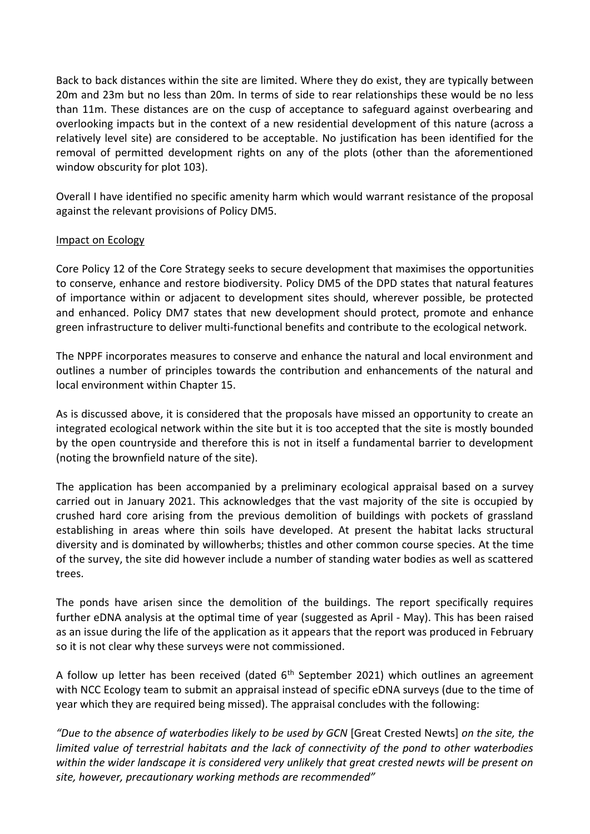Back to back distances within the site are limited. Where they do exist, they are typically between 20m and 23m but no less than 20m. In terms of side to rear relationships these would be no less than 11m. These distances are on the cusp of acceptance to safeguard against overbearing and overlooking impacts but in the context of a new residential development of this nature (across a relatively level site) are considered to be acceptable. No justification has been identified for the removal of permitted development rights on any of the plots (other than the aforementioned window obscurity for plot 103).

Overall I have identified no specific amenity harm which would warrant resistance of the proposal against the relevant provisions of Policy DM5.

## Impact on Ecology

Core Policy 12 of the Core Strategy seeks to secure development that maximises the opportunities to conserve, enhance and restore biodiversity. Policy DM5 of the DPD states that natural features of importance within or adjacent to development sites should, wherever possible, be protected and enhanced. Policy DM7 states that new development should protect, promote and enhance green infrastructure to deliver multi-functional benefits and contribute to the ecological network.

The NPPF incorporates measures to conserve and enhance the natural and local environment and outlines a number of principles towards the contribution and enhancements of the natural and local environment within Chapter 15.

As is discussed above, it is considered that the proposals have missed an opportunity to create an integrated ecological network within the site but it is too accepted that the site is mostly bounded by the open countryside and therefore this is not in itself a fundamental barrier to development (noting the brownfield nature of the site).

The application has been accompanied by a preliminary ecological appraisal based on a survey carried out in January 2021. This acknowledges that the vast majority of the site is occupied by crushed hard core arising from the previous demolition of buildings with pockets of grassland establishing in areas where thin soils have developed. At present the habitat lacks structural diversity and is dominated by willowherbs; thistles and other common course species. At the time of the survey, the site did however include a number of standing water bodies as well as scattered trees.

The ponds have arisen since the demolition of the buildings. The report specifically requires further eDNA analysis at the optimal time of year (suggested as April - May). This has been raised as an issue during the life of the application as it appears that the report was produced in February so it is not clear why these surveys were not commissioned.

A follow up letter has been received (dated  $6<sup>th</sup>$  September 2021) which outlines an agreement with NCC Ecology team to submit an appraisal instead of specific eDNA surveys (due to the time of year which they are required being missed). The appraisal concludes with the following:

*"Due to the absence of waterbodies likely to be used by GCN* [Great Crested Newts] *on the site, the limited value of terrestrial habitats and the lack of connectivity of the pond to other waterbodies within the wider landscape it is considered very unlikely that great crested newts will be present on site, however, precautionary working methods are recommended"*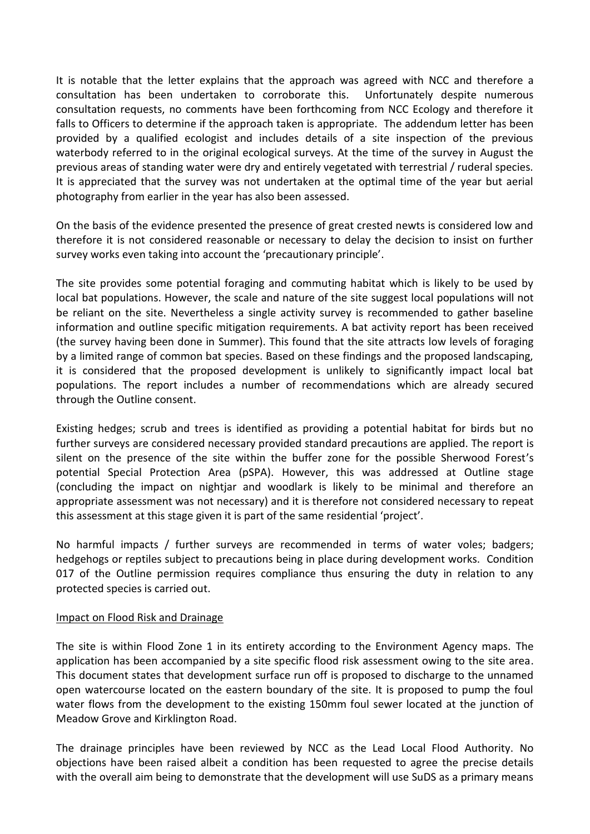It is notable that the letter explains that the approach was agreed with NCC and therefore a consultation has been undertaken to corroborate this. Unfortunately despite numerous consultation requests, no comments have been forthcoming from NCC Ecology and therefore it falls to Officers to determine if the approach taken is appropriate. The addendum letter has been provided by a qualified ecologist and includes details of a site inspection of the previous waterbody referred to in the original ecological surveys. At the time of the survey in August the previous areas of standing water were dry and entirely vegetated with terrestrial / ruderal species. It is appreciated that the survey was not undertaken at the optimal time of the year but aerial photography from earlier in the year has also been assessed.

On the basis of the evidence presented the presence of great crested newts is considered low and therefore it is not considered reasonable or necessary to delay the decision to insist on further survey works even taking into account the 'precautionary principle'.

The site provides some potential foraging and commuting habitat which is likely to be used by local bat populations. However, the scale and nature of the site suggest local populations will not be reliant on the site. Nevertheless a single activity survey is recommended to gather baseline information and outline specific mitigation requirements. A bat activity report has been received (the survey having been done in Summer). This found that the site attracts low levels of foraging by a limited range of common bat species. Based on these findings and the proposed landscaping, it is considered that the proposed development is unlikely to significantly impact local bat populations. The report includes a number of recommendations which are already secured through the Outline consent.

Existing hedges; scrub and trees is identified as providing a potential habitat for birds but no further surveys are considered necessary provided standard precautions are applied. The report is silent on the presence of the site within the buffer zone for the possible Sherwood Forest's potential Special Protection Area (pSPA). However, this was addressed at Outline stage (concluding the impact on nightjar and woodlark is likely to be minimal and therefore an appropriate assessment was not necessary) and it is therefore not considered necessary to repeat this assessment at this stage given it is part of the same residential 'project'.

No harmful impacts / further surveys are recommended in terms of water voles; badgers; hedgehogs or reptiles subject to precautions being in place during development works. Condition 017 of the Outline permission requires compliance thus ensuring the duty in relation to any protected species is carried out.

#### Impact on Flood Risk and Drainage

The site is within Flood Zone 1 in its entirety according to the Environment Agency maps. The application has been accompanied by a site specific flood risk assessment owing to the site area. This document states that development surface run off is proposed to discharge to the unnamed open watercourse located on the eastern boundary of the site. It is proposed to pump the foul water flows from the development to the existing 150mm foul sewer located at the junction of Meadow Grove and Kirklington Road.

The drainage principles have been reviewed by NCC as the Lead Local Flood Authority. No objections have been raised albeit a condition has been requested to agree the precise details with the overall aim being to demonstrate that the development will use SuDS as a primary means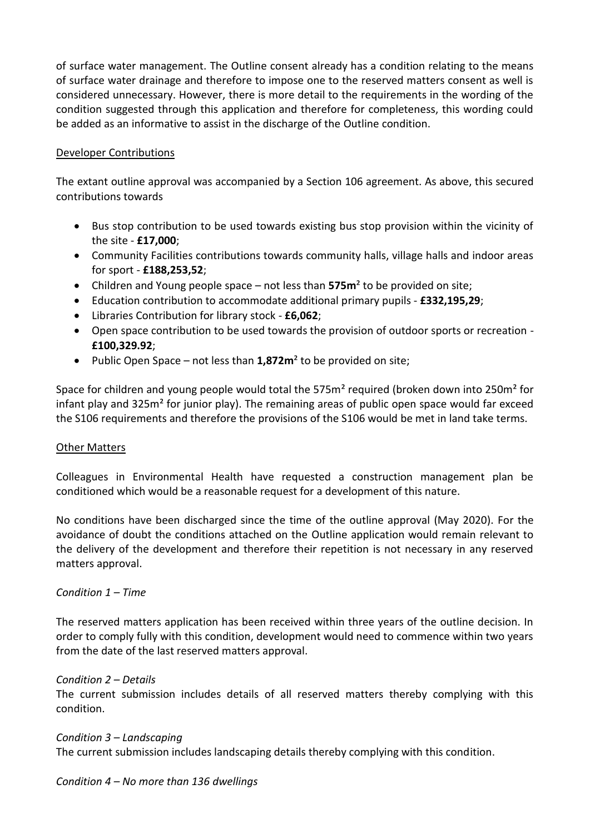of surface water management. The Outline consent already has a condition relating to the means of surface water drainage and therefore to impose one to the reserved matters consent as well is considered unnecessary. However, there is more detail to the requirements in the wording of the condition suggested through this application and therefore for completeness, this wording could be added as an informative to assist in the discharge of the Outline condition.

## Developer Contributions

The extant outline approval was accompanied by a Section 106 agreement. As above, this secured contributions towards

- Bus stop contribution to be used towards existing bus stop provision within the vicinity of the site - **£17,000**;
- Community Facilities contributions towards community halls, village halls and indoor areas for sport - **£188,253,52**;
- Children and Young people space not less than **575m**² to be provided on site;
- Education contribution to accommodate additional primary pupils **£332,195,29**;
- Libraries Contribution for library stock **£6,062**;
- Open space contribution to be used towards the provision of outdoor sports or recreation **£100,329.92**;
- Public Open Space not less than **1,872m**² to be provided on site;

Space for children and young people would total the 575m² required (broken down into 250m² for infant play and 325m<sup>2</sup> for junior play). The remaining areas of public open space would far exceed the S106 requirements and therefore the provisions of the S106 would be met in land take terms.

#### Other Matters

Colleagues in Environmental Health have requested a construction management plan be conditioned which would be a reasonable request for a development of this nature.

No conditions have been discharged since the time of the outline approval (May 2020). For the avoidance of doubt the conditions attached on the Outline application would remain relevant to the delivery of the development and therefore their repetition is not necessary in any reserved matters approval.

#### *Condition 1 – Time*

The reserved matters application has been received within three years of the outline decision. In order to comply fully with this condition, development would need to commence within two years from the date of the last reserved matters approval.

#### *Condition 2 – Details*

The current submission includes details of all reserved matters thereby complying with this condition.

*Condition 3 – Landscaping* The current submission includes landscaping details thereby complying with this condition.

*Condition 4 – No more than 136 dwellings*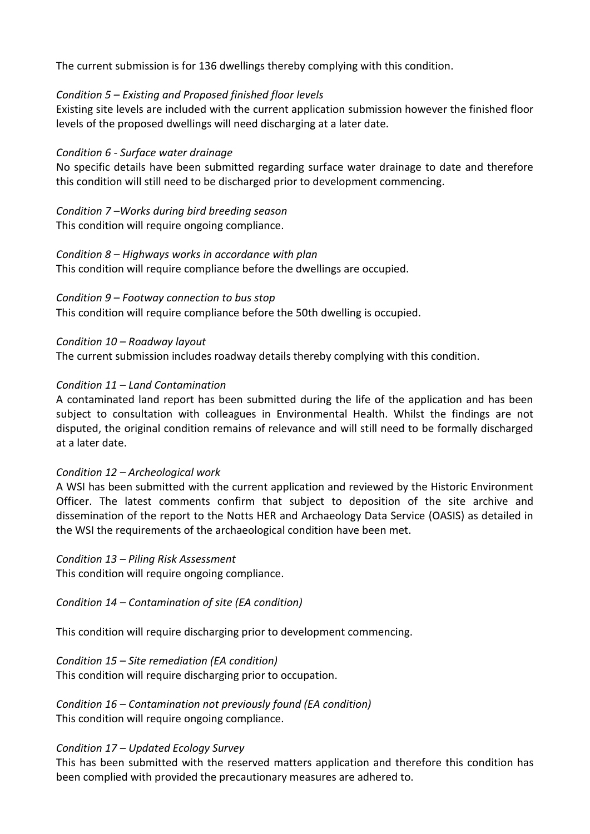The current submission is for 136 dwellings thereby complying with this condition.

## *Condition 5 – Existing and Proposed finished floor levels*

Existing site levels are included with the current application submission however the finished floor levels of the proposed dwellings will need discharging at a later date.

## *Condition 6 - Surface water drainage*

No specific details have been submitted regarding surface water drainage to date and therefore this condition will still need to be discharged prior to development commencing.

# *Condition 7 –Works during bird breeding season*

This condition will require ongoing compliance.

## *Condition 8 – Highways works in accordance with plan*

This condition will require compliance before the dwellings are occupied.

## *Condition 9 – Footway connection to bus stop*

This condition will require compliance before the 50th dwelling is occupied.

*Condition 10 – Roadway layout* The current submission includes roadway details thereby complying with this condition.

# *Condition 11 – Land Contamination*

A contaminated land report has been submitted during the life of the application and has been subject to consultation with colleagues in Environmental Health. Whilst the findings are not disputed, the original condition remains of relevance and will still need to be formally discharged at a later date.

# *Condition 12 – Archeological work*

A WSI has been submitted with the current application and reviewed by the Historic Environment Officer. The latest comments confirm that subject to deposition of the site archive and dissemination of the report to the Notts HER and Archaeology Data Service (OASIS) as detailed in the WSI the requirements of the archaeological condition have been met.

#### *Condition 13 – Piling Risk Assessment*

This condition will require ongoing compliance.

*Condition 14 – Contamination of site (EA condition)*

This condition will require discharging prior to development commencing.

*Condition 15 – Site remediation (EA condition)*

This condition will require discharging prior to occupation.

*Condition 16 – Contamination not previously found (EA condition)* This condition will require ongoing compliance.

# *Condition 17 – Updated Ecology Survey*

This has been submitted with the reserved matters application and therefore this condition has been complied with provided the precautionary measures are adhered to.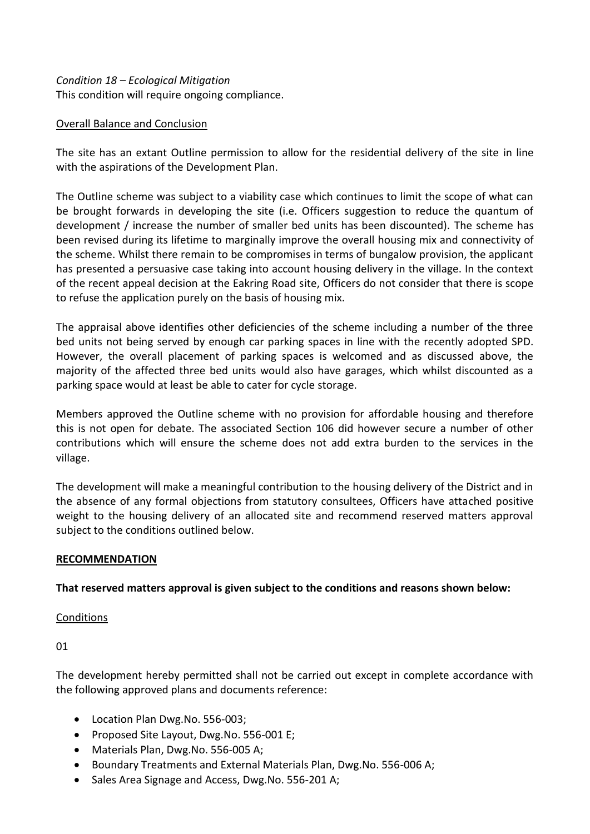## *Condition 18 – Ecological Mitigation*  This condition will require ongoing compliance.

## Overall Balance and Conclusion

The site has an extant Outline permission to allow for the residential delivery of the site in line with the aspirations of the Development Plan.

The Outline scheme was subject to a viability case which continues to limit the scope of what can be brought forwards in developing the site (i.e. Officers suggestion to reduce the quantum of development / increase the number of smaller bed units has been discounted). The scheme has been revised during its lifetime to marginally improve the overall housing mix and connectivity of the scheme. Whilst there remain to be compromises in terms of bungalow provision, the applicant has presented a persuasive case taking into account housing delivery in the village. In the context of the recent appeal decision at the Eakring Road site, Officers do not consider that there is scope to refuse the application purely on the basis of housing mix.

The appraisal above identifies other deficiencies of the scheme including a number of the three bed units not being served by enough car parking spaces in line with the recently adopted SPD. However, the overall placement of parking spaces is welcomed and as discussed above, the majority of the affected three bed units would also have garages, which whilst discounted as a parking space would at least be able to cater for cycle storage.

Members approved the Outline scheme with no provision for affordable housing and therefore this is not open for debate. The associated Section 106 did however secure a number of other contributions which will ensure the scheme does not add extra burden to the services in the village.

The development will make a meaningful contribution to the housing delivery of the District and in the absence of any formal objections from statutory consultees, Officers have attached positive weight to the housing delivery of an allocated site and recommend reserved matters approval subject to the conditions outlined below.

#### **RECOMMENDATION**

#### **That reserved matters approval is given subject to the conditions and reasons shown below:**

#### **Conditions**

01

The development hereby permitted shall not be carried out except in complete accordance with the following approved plans and documents reference:

- Location Plan Dwg.No. 556-003;
- Proposed Site Layout, Dwg.No. 556-001 E;
- Materials Plan, Dwg.No. 556-005 A;
- Boundary Treatments and External Materials Plan, Dwg.No. 556-006 A;
- Sales Area Signage and Access, Dwg.No. 556-201 A;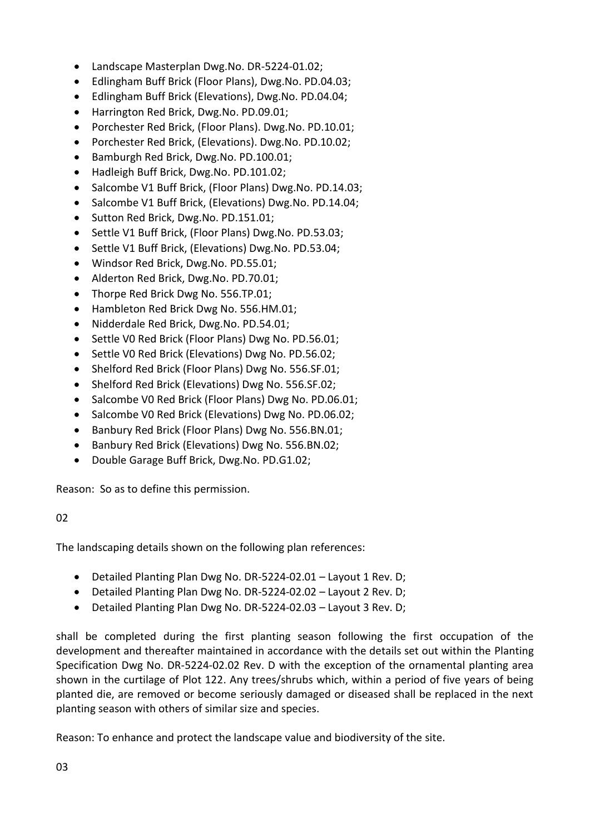- Landscape Masterplan Dwg.No. DR-5224-01.02;
- Edlingham Buff Brick (Floor Plans), Dwg.No. PD.04.03;
- Edlingham Buff Brick (Elevations), Dwg.No. PD.04.04;
- Harrington Red Brick, Dwg.No. PD.09.01;
- Porchester Red Brick, (Floor Plans). Dwg.No. PD.10.01;
- Porchester Red Brick, (Elevations). Dwg.No. PD.10.02;
- Bamburgh Red Brick, Dwg.No. PD.100.01;
- Hadleigh Buff Brick, Dwg.No. PD.101.02;
- Salcombe V1 Buff Brick, (Floor Plans) Dwg.No. PD.14.03;
- Salcombe V1 Buff Brick, (Elevations) Dwg.No. PD.14.04;
- Sutton Red Brick, Dwg.No. PD.151.01;
- Settle V1 Buff Brick, (Floor Plans) Dwg.No. PD.53.03;
- Settle V1 Buff Brick, (Elevations) Dwg.No. PD.53.04;
- Windsor Red Brick, Dwg.No. PD.55.01;
- Alderton Red Brick, Dwg.No. PD.70.01;
- Thorpe Red Brick Dwg No. 556.TP.01;
- Hambleton Red Brick Dwg No. 556.HM.01;
- Nidderdale Red Brick, Dwg.No. PD.54.01;
- Settle V0 Red Brick (Floor Plans) Dwg No. PD.56.01;
- Settle VO Red Brick (Elevations) Dwg No. PD.56.02;
- Shelford Red Brick (Floor Plans) Dwg No. 556.SF.01;
- Shelford Red Brick (Elevations) Dwg No. 556.SF.02;
- Salcombe V0 Red Brick (Floor Plans) Dwg No. PD.06.01;
- Salcombe VO Red Brick (Elevations) Dwg No. PD.06.02;
- Banbury Red Brick (Floor Plans) Dwg No. 556.BN.01;
- Banbury Red Brick (Elevations) Dwg No. 556.BN.02;
- Double Garage Buff Brick, Dwg.No. PD.G1.02;

Reason: So as to define this permission.

# $02$

The landscaping details shown on the following plan references:

- Detailed Planting Plan Dwg No. DR-5224-02.01 Layout 1 Rev. D;
- Detailed Planting Plan Dwg No. DR-5224-02.02 Layout 2 Rev. D;
- Detailed Planting Plan Dwg No. DR-5224-02.03 Layout 3 Rev. D;

shall be completed during the first planting season following the first occupation of the development and thereafter maintained in accordance with the details set out within the Planting Specification Dwg No. DR-5224-02.02 Rev. D with the exception of the ornamental planting area shown in the curtilage of Plot 122. Any trees/shrubs which, within a period of five years of being planted die, are removed or become seriously damaged or diseased shall be replaced in the next planting season with others of similar size and species.

Reason: To enhance and protect the landscape value and biodiversity of the site.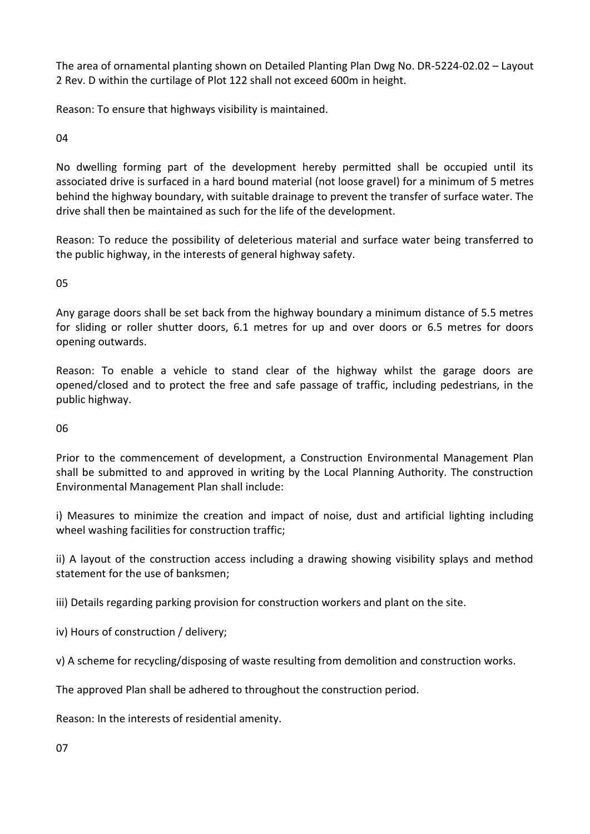The area of ornamental planting shown on Detailed Planting Plan Dwg No. DR-5224-02.02 – Layout 2 Rev. D within the curtilage of Plot 122 shall not exceed 600m in height.

Reason: To ensure that highways visibility is maintained.

04

No dwelling forming part of the development hereby permitted shall be occupied until its associated drive is surfaced in a hard bound material (not loose gravel) for a minimum of 5 metres behind the highway boundary, with suitable drainage to prevent the transfer of surface water. The drive shall then be maintained as such for the life of the development.

Reason: To reduce the possibility of deleterious material and surface water being transferred to the public highway, in the interests of general highway safety.

05

Any garage doors shall be set back from the highway boundary a minimum distance of 5.5 metres for sliding or roller shutter doors, 6.1 metres for up and over doors or 6.5 metres for doors opening outwards.

Reason: To enable a vehicle to stand clear of the highway whilst the garage doors are opened/closed and to protect the free and safe passage of traffic, including pedestrians, in the public highway.

06

Prior to the commencement of development, a Construction Environmental Management Plan shall be submitted to and approved in writing by the Local Planning Authority. The construction Environmental Management Plan shall include:

i) Measures to minimize the creation and impact of noise, dust and artificial lighting including wheel washing facilities for construction traffic;

ii) A layout of the construction access including a drawing showing visibility splays and method statement for the use of banksmen;

iii) Details regarding parking provision for construction workers and plant on the site.

iv) Hours of construction / delivery;

v) A scheme for recycling/disposing of waste resulting from demolition and construction works.

The approved Plan shall be adhered to throughout the construction period.

Reason: In the interests of residential amenity.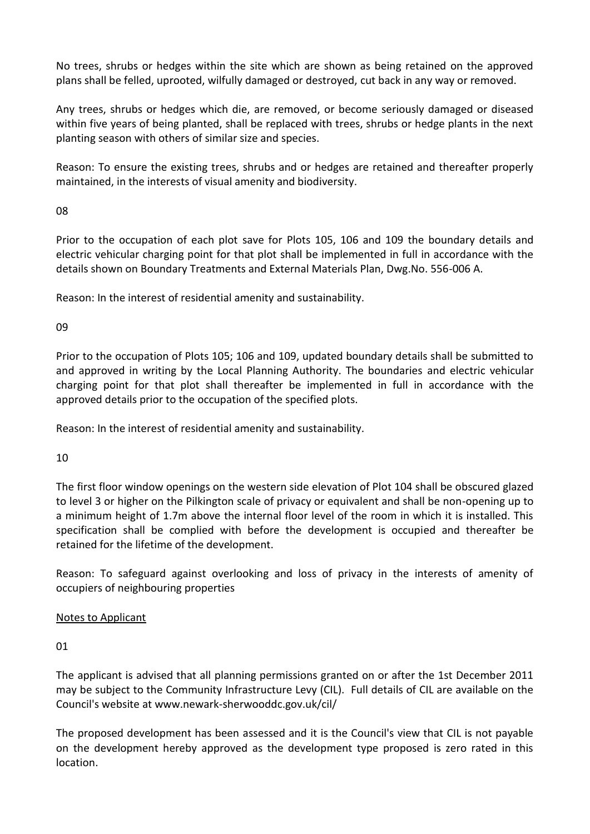No trees, shrubs or hedges within the site which are shown as being retained on the approved plans shall be felled, uprooted, wilfully damaged or destroyed, cut back in any way or removed.

Any trees, shrubs or hedges which die, are removed, or become seriously damaged or diseased within five years of being planted, shall be replaced with trees, shrubs or hedge plants in the next planting season with others of similar size and species.

Reason: To ensure the existing trees, shrubs and or hedges are retained and thereafter properly maintained, in the interests of visual amenity and biodiversity.

08

Prior to the occupation of each plot save for Plots 105, 106 and 109 the boundary details and electric vehicular charging point for that plot shall be implemented in full in accordance with the details shown on Boundary Treatments and External Materials Plan, Dwg.No. 556-006 A.

Reason: In the interest of residential amenity and sustainability.

09

Prior to the occupation of Plots 105; 106 and 109, updated boundary details shall be submitted to and approved in writing by the Local Planning Authority. The boundaries and electric vehicular charging point for that plot shall thereafter be implemented in full in accordance with the approved details prior to the occupation of the specified plots.

Reason: In the interest of residential amenity and sustainability.

10

The first floor window openings on the western side elevation of Plot 104 shall be obscured glazed to level 3 or higher on the Pilkington scale of privacy or equivalent and shall be non-opening up to a minimum height of 1.7m above the internal floor level of the room in which it is installed. This specification shall be complied with before the development is occupied and thereafter be retained for the lifetime of the development.

Reason: To safeguard against overlooking and loss of privacy in the interests of amenity of occupiers of neighbouring properties

# Notes to Applicant

01

The applicant is advised that all planning permissions granted on or after the 1st December 2011 may be subject to the Community Infrastructure Levy (CIL). Full details of CIL are available on the Council's website at www.newark-sherwooddc.gov.uk/cil/

The proposed development has been assessed and it is the Council's view that CIL is not payable on the development hereby approved as the development type proposed is zero rated in this location.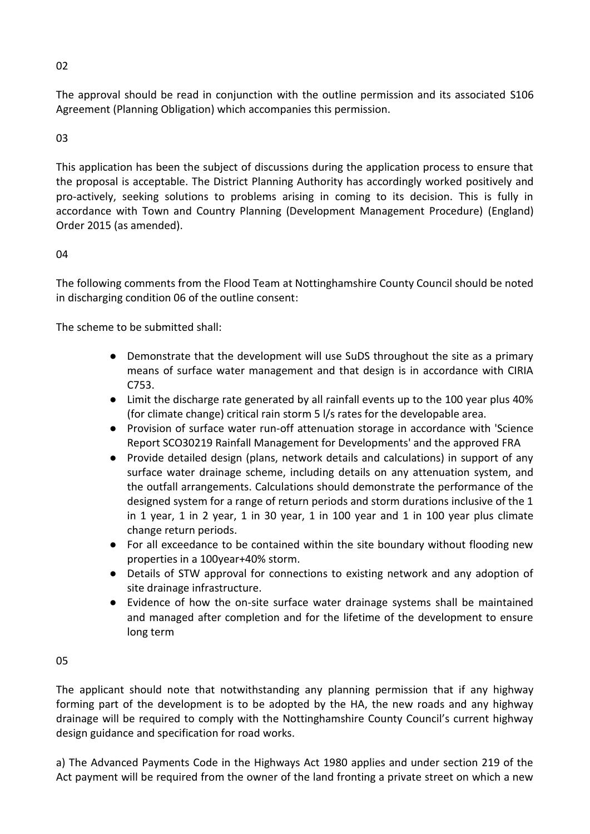The approval should be read in conjunction with the outline permission and its associated S106 Agreement (Planning Obligation) which accompanies this permission.

# 03

This application has been the subject of discussions during the application process to ensure that the proposal is acceptable. The District Planning Authority has accordingly worked positively and pro-actively, seeking solutions to problems arising in coming to its decision. This is fully in accordance with Town and Country Planning (Development Management Procedure) (England) Order 2015 (as amended).

# 04

The following comments from the Flood Team at Nottinghamshire County Council should be noted in discharging condition 06 of the outline consent:

The scheme to be submitted shall:

- Demonstrate that the development will use SuDS throughout the site as a primary means of surface water management and that design is in accordance with CIRIA C753.
- Limit the discharge rate generated by all rainfall events up to the 100 year plus 40% (for climate change) critical rain storm 5 l/s rates for the developable area.
- Provision of surface water run-off attenuation storage in accordance with 'Science Report SCO30219 Rainfall Management for Developments' and the approved FRA
- Provide detailed design (plans, network details and calculations) in support of any surface water drainage scheme, including details on any attenuation system, and the outfall arrangements. Calculations should demonstrate the performance of the designed system for a range of return periods and storm durations inclusive of the 1 in 1 year, 1 in 2 year, 1 in 30 year, 1 in 100 year and 1 in 100 year plus climate change return periods.
- For all exceedance to be contained within the site boundary without flooding new properties in a 100year+40% storm.
- Details of STW approval for connections to existing network and any adoption of site drainage infrastructure.
- Evidence of how the on-site surface water drainage systems shall be maintained and managed after completion and for the lifetime of the development to ensure long term

#### 05

The applicant should note that notwithstanding any planning permission that if any highway forming part of the development is to be adopted by the HA, the new roads and any highway drainage will be required to comply with the Nottinghamshire County Council's current highway design guidance and specification for road works.

a) The Advanced Payments Code in the Highways Act 1980 applies and under section 219 of the Act payment will be required from the owner of the land fronting a private street on which a new

02